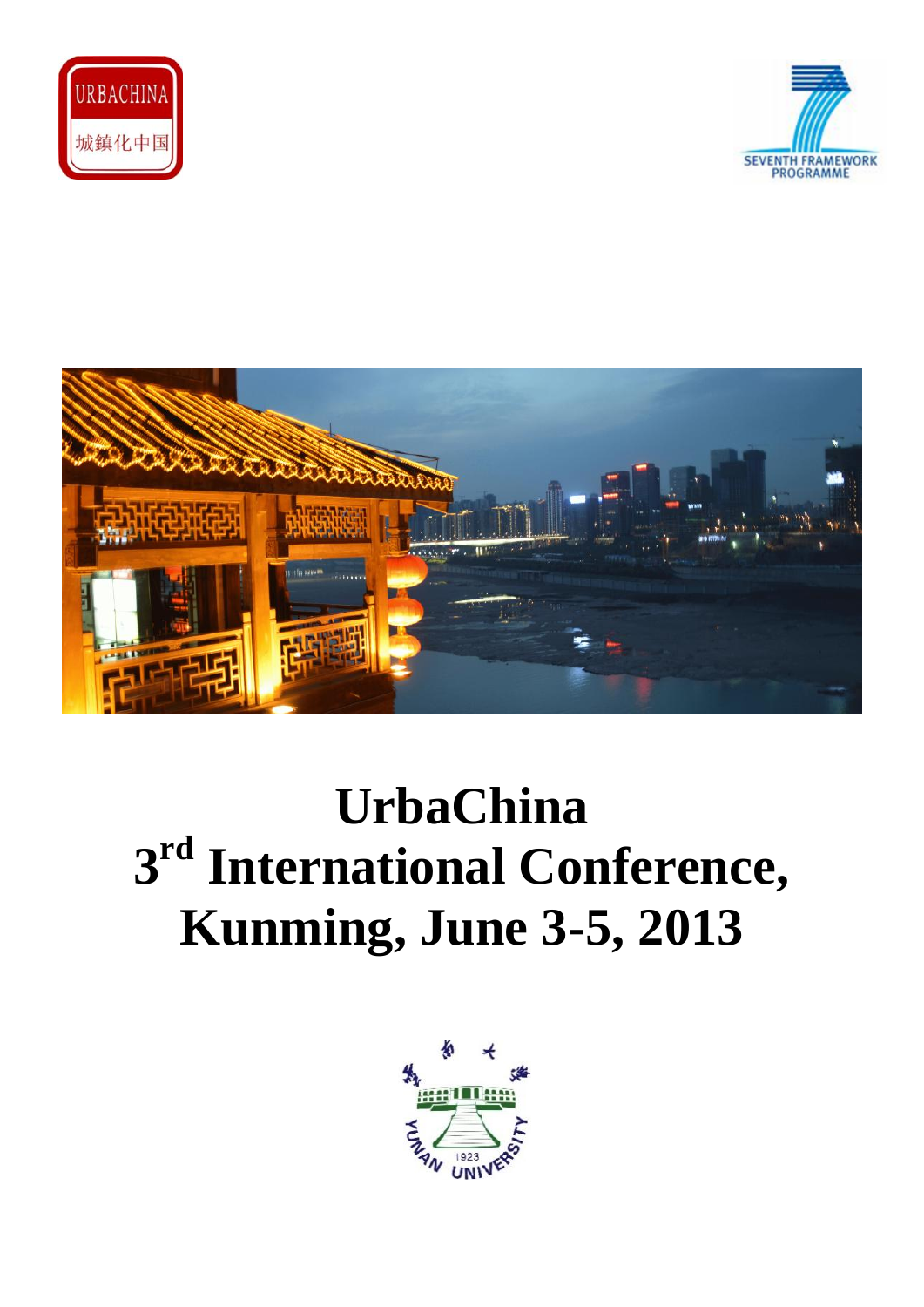





# **UrbaChina 3 rd International Conference, Kunming, June 3-5, 2013**

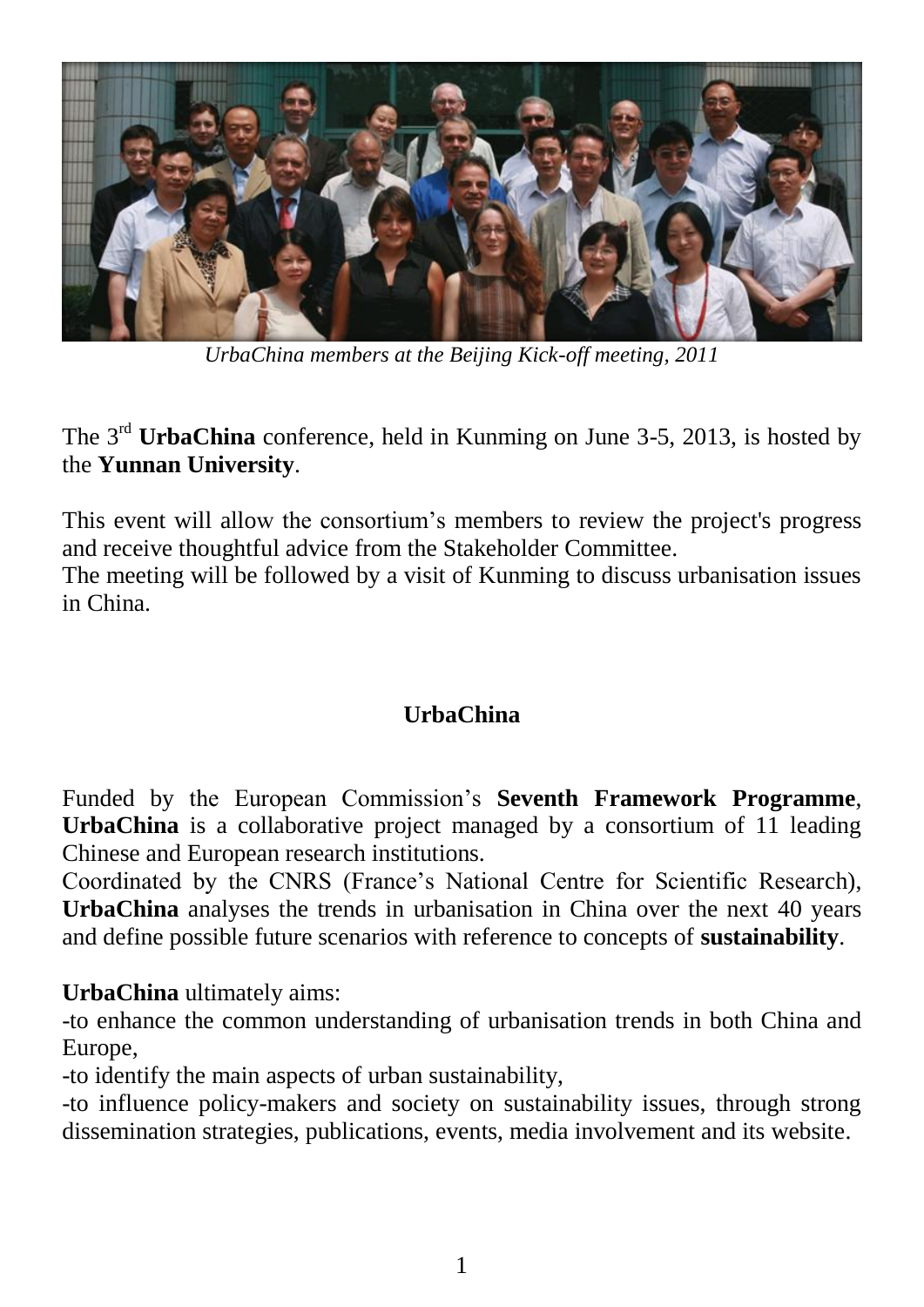

*UrbaChina members at the Beijing Kick-off meeting, 2011*

The 3rd **UrbaChina** conference, held in Kunming on June 3-5, 2013, is hosted by the **Yunnan University**.

This event will allow the consortium's members to review the project's progress and receive thoughtful advice from the Stakeholder Committee.

The meeting will be followed by a visit of Kunming to discuss urbanisation issues in China.

#### **UrbaChina**

Funded by the European Commission's **Seventh Framework Programme**, **UrbaChina** is a collaborative project managed by a consortium of 11 leading Chinese and European research institutions.

Coordinated by the CNRS (France's National Centre for Scientific Research), **UrbaChina** analyses the trends in urbanisation in China over the next 40 years and define possible future scenarios with reference to concepts of **sustainability**.

**UrbaChina** ultimately aims:

-to enhance the common understanding of urbanisation trends in both China and Europe,

-to identify the main aspects of urban sustainability,

-to influence policy-makers and society on sustainability issues, through strong dissemination strategies, publications, events, media involvement and its website.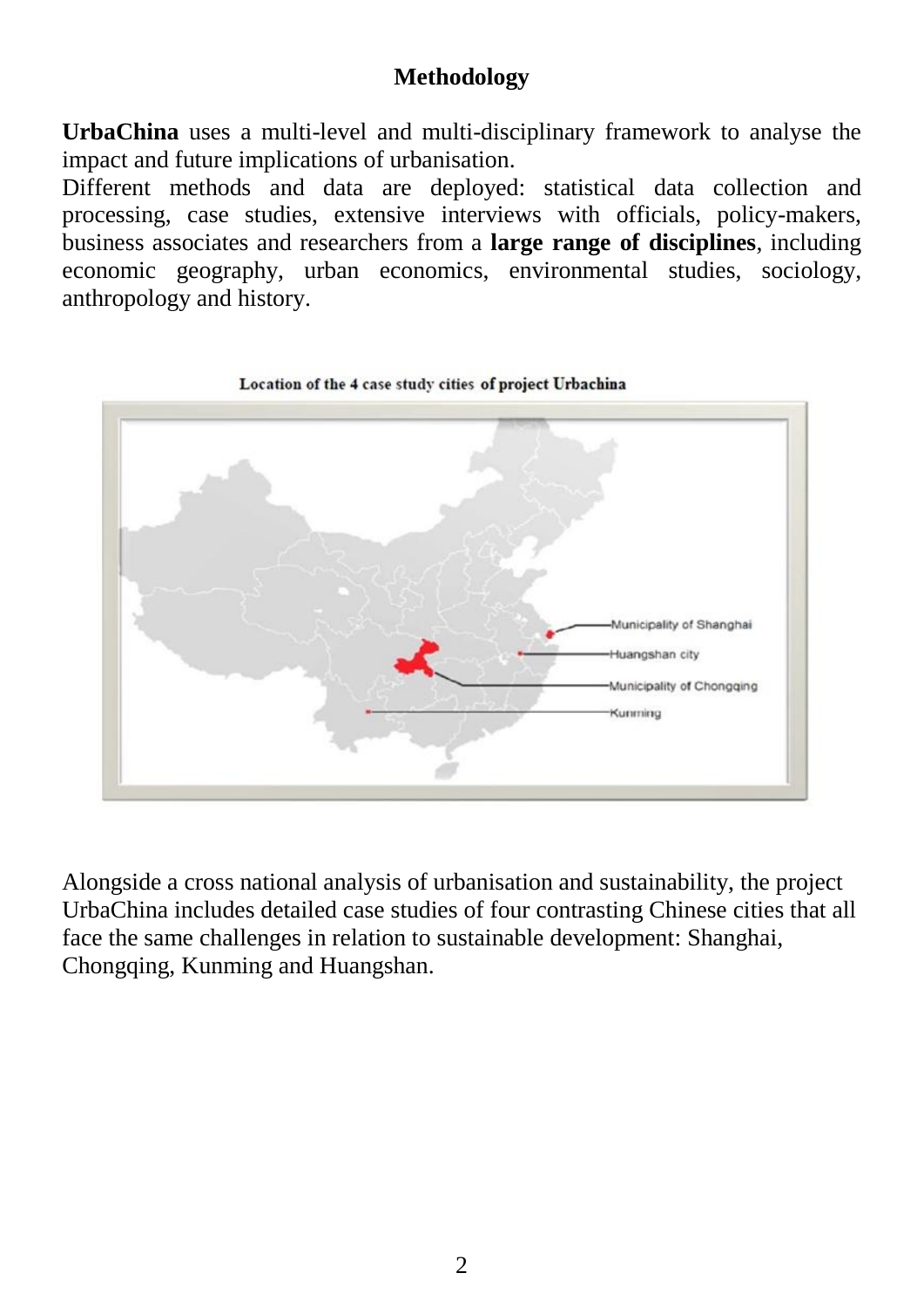#### **Methodology**

**UrbaChina** uses a multi-level and multi-disciplinary framework to analyse the impact and future implications of urbanisation.

Different methods and data are deployed: statistical data collection and processing, case studies, extensive interviews with officials, policy-makers, business associates and researchers from a **large range of disciplines**, including economic geography, urban economics, environmental studies, sociology, anthropology and history.



Alongside a cross national analysis of urbanisation and sustainability, the project UrbaChina includes detailed case studies of four contrasting Chinese cities that all face the same challenges in relation to sustainable development: Shanghai, Chongqing, Kunming and Huangshan.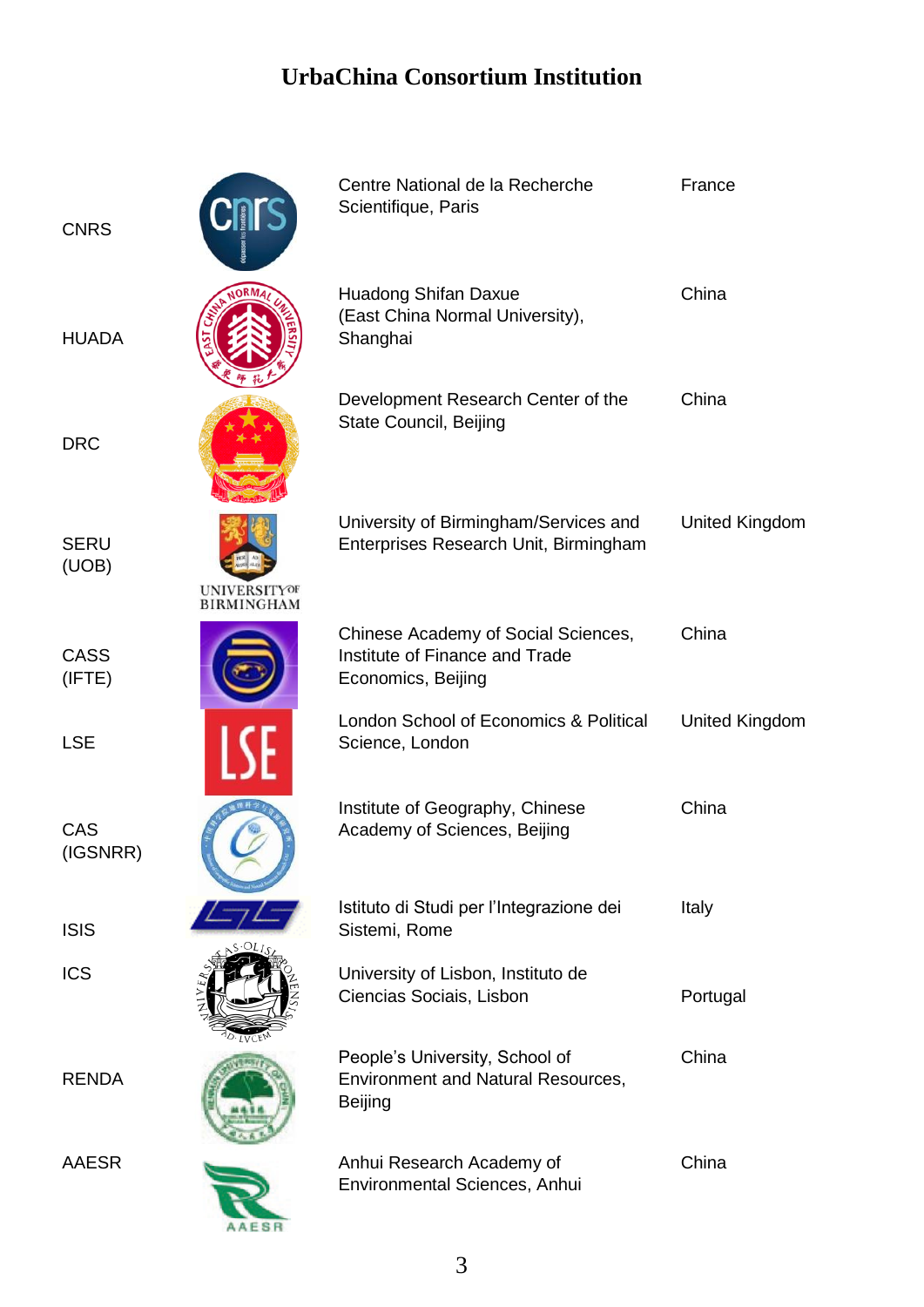#### **UrbaChina Consortium Institution**

| <b>CNRS</b>          |                                          | Centre National de la Recherche<br>Scientifique, Paris                                      | France                |
|----------------------|------------------------------------------|---------------------------------------------------------------------------------------------|-----------------------|
| <b>HUADA</b>         |                                          | Huadong Shifan Daxue<br>(East China Normal University),<br>Shanghai                         | China                 |
| <b>DRC</b>           |                                          | Development Research Center of the<br>State Council, Beijing                                | China                 |
| <b>SERU</b><br>(UOB) | <b>UNIVERSITYOF</b><br><b>BIRMINGHAM</b> | University of Birmingham/Services and<br>Enterprises Research Unit, Birmingham              | United Kingdom        |
| CASS<br>(IFTE)       |                                          | Chinese Academy of Social Sciences,<br>Institute of Finance and Trade<br>Economics, Beijing | China                 |
| <b>LSE</b>           |                                          | London School of Economics & Political<br>Science, London                                   | <b>United Kingdom</b> |
| CAS<br>(IGSNRR)      |                                          | Institute of Geography, Chinese<br>Academy of Sciences, Beijing                             | China                 |
| <b>ISIS</b>          |                                          | Istituto di Studi per l'Integrazione dei<br>Sistemi, Rome                                   | Italy                 |
| <b>ICS</b>           |                                          | University of Lisbon, Instituto de<br>Ciencias Sociais, Lisbon                              | Portugal              |
| <b>RENDA</b>         |                                          | People's University, School of<br><b>Environment and Natural Resources,</b><br>Beijing      | China                 |
| AAESR                |                                          | Anhui Research Academy of<br>Environmental Sciences, Anhui                                  | China                 |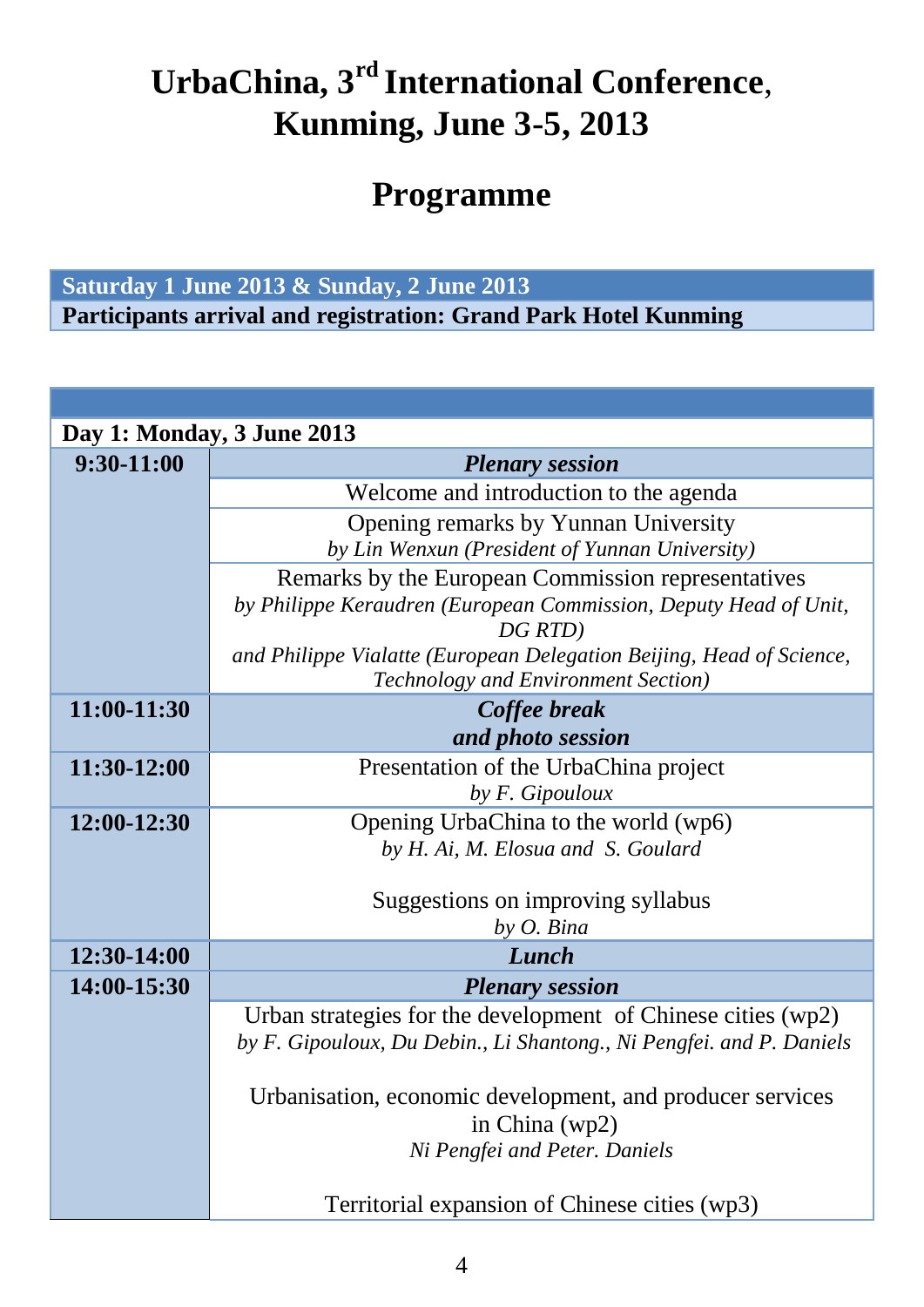# **UrbaChina, 3rd International Conference**, **Kunming, June 3-5, 2013**

# **Programme**

#### **Saturday 1 June 2013 & Sunday, 2 June 2013**

**Participants arrival and registration: Grand Park Hotel Kunming**

| Day 1: Monday, 3 June 2013                                           |  |  |
|----------------------------------------------------------------------|--|--|
| <b>Plenary session</b>                                               |  |  |
| Welcome and introduction to the agenda                               |  |  |
| Opening remarks by Yunnan University                                 |  |  |
| by Lin Wenxun (President of Yunnan University)                       |  |  |
| Remarks by the European Commission representatives                   |  |  |
| by Philippe Keraudren (European Commission, Deputy Head of Unit,     |  |  |
| DG RTD)                                                              |  |  |
| and Philippe Vialatte (European Delegation Beijing, Head of Science, |  |  |
| Technology and Environment Section)                                  |  |  |
| Coffee break                                                         |  |  |
| and photo session                                                    |  |  |
| Presentation of the UrbaChina project                                |  |  |
| by F. Gipouloux                                                      |  |  |
| Opening UrbaChina to the world (wp6)                                 |  |  |
| by H. Ai, M. Elosua and S. Goulard                                   |  |  |
|                                                                      |  |  |
| Suggestions on improving syllabus                                    |  |  |
| by O. Bina                                                           |  |  |
| Lunch                                                                |  |  |
| <b>Plenary session</b>                                               |  |  |
| Urban strategies for the development of Chinese cities (wp2)         |  |  |
| by F. Gipouloux, Du Debin., Li Shantong., Ni Pengfei. and P. Daniels |  |  |
|                                                                      |  |  |
| Urbanisation, economic development, and producer services            |  |  |
| in China (wp2)                                                       |  |  |
| Ni Pengfei and Peter. Daniels                                        |  |  |
|                                                                      |  |  |
| Territorial expansion of Chinese cities (wp3)                        |  |  |
|                                                                      |  |  |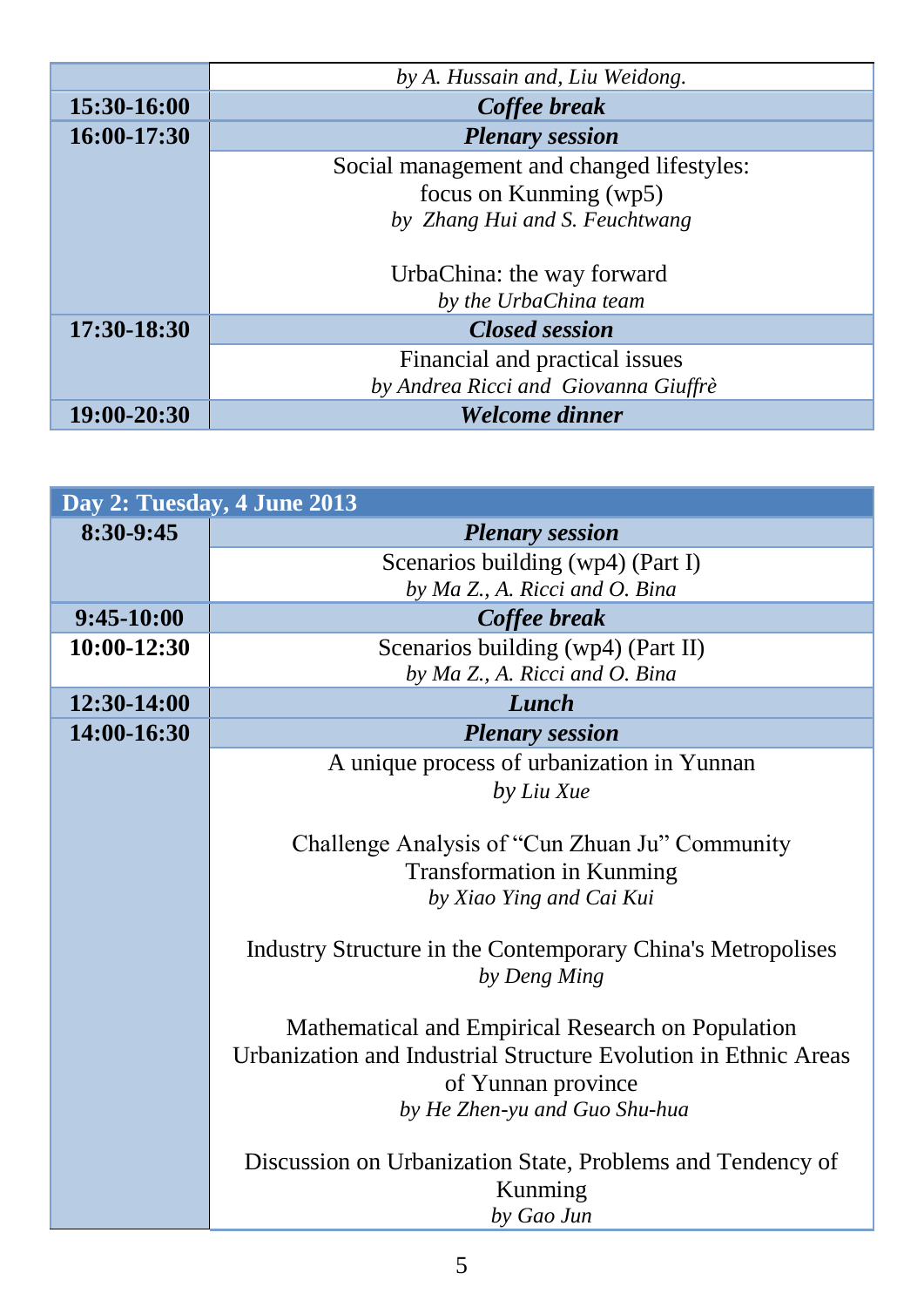|             | by A. Hussain and, Liu Weidong.           |
|-------------|-------------------------------------------|
| 15:30-16:00 | Coffee break                              |
| 16:00-17:30 | <b>Plenary session</b>                    |
|             | Social management and changed lifestyles: |
|             | focus on Kunming (wp5)                    |
|             | by Zhang Hui and S. Feuchtwang            |
|             |                                           |
|             | UrbaChina: the way forward                |
|             | by the UrbaChina team                     |
| 17:30-18:30 | <b>Closed session</b>                     |
|             | Financial and practical issues            |
|             | by Andrea Ricci and Giovanna Giuffrè      |
| 19:00-20:30 | Welcome dinner                            |

|              | Day 2: Tuesday, 4 June 2013                                                 |
|--------------|-----------------------------------------------------------------------------|
| 8:30-9:45    | <b>Plenary session</b>                                                      |
|              | Scenarios building (wp4) (Part I)                                           |
|              | by Ma Z., A. Ricci and O. Bina                                              |
| $9:45-10:00$ | Coffee break                                                                |
| 10:00-12:30  | Scenarios building (wp4) (Part II)                                          |
|              | by Ma Z., A. Ricci and O. Bina                                              |
| 12:30-14:00  | Lunch                                                                       |
| 14:00-16:30  | <b>Plenary session</b>                                                      |
|              | A unique process of urbanization in Yunnan                                  |
|              | by Liu Xue                                                                  |
|              |                                                                             |
|              | Challenge Analysis of "Cun Zhuan Ju" Community                              |
|              | <b>Transformation in Kunming</b>                                            |
|              | by Xiao Ying and Cai Kui                                                    |
|              |                                                                             |
|              | Industry Structure in the Contemporary China's Metropolises<br>by Deng Ming |
|              |                                                                             |
|              | Mathematical and Empirical Research on Population                           |
|              | Urbanization and Industrial Structure Evolution in Ethnic Areas             |
|              | of Yunnan province                                                          |
|              | by He Zhen-yu and Guo Shu-hua                                               |
|              |                                                                             |
|              | Discussion on Urbanization State, Problems and Tendency of                  |
|              | Kunming                                                                     |
|              | by Gao Jun                                                                  |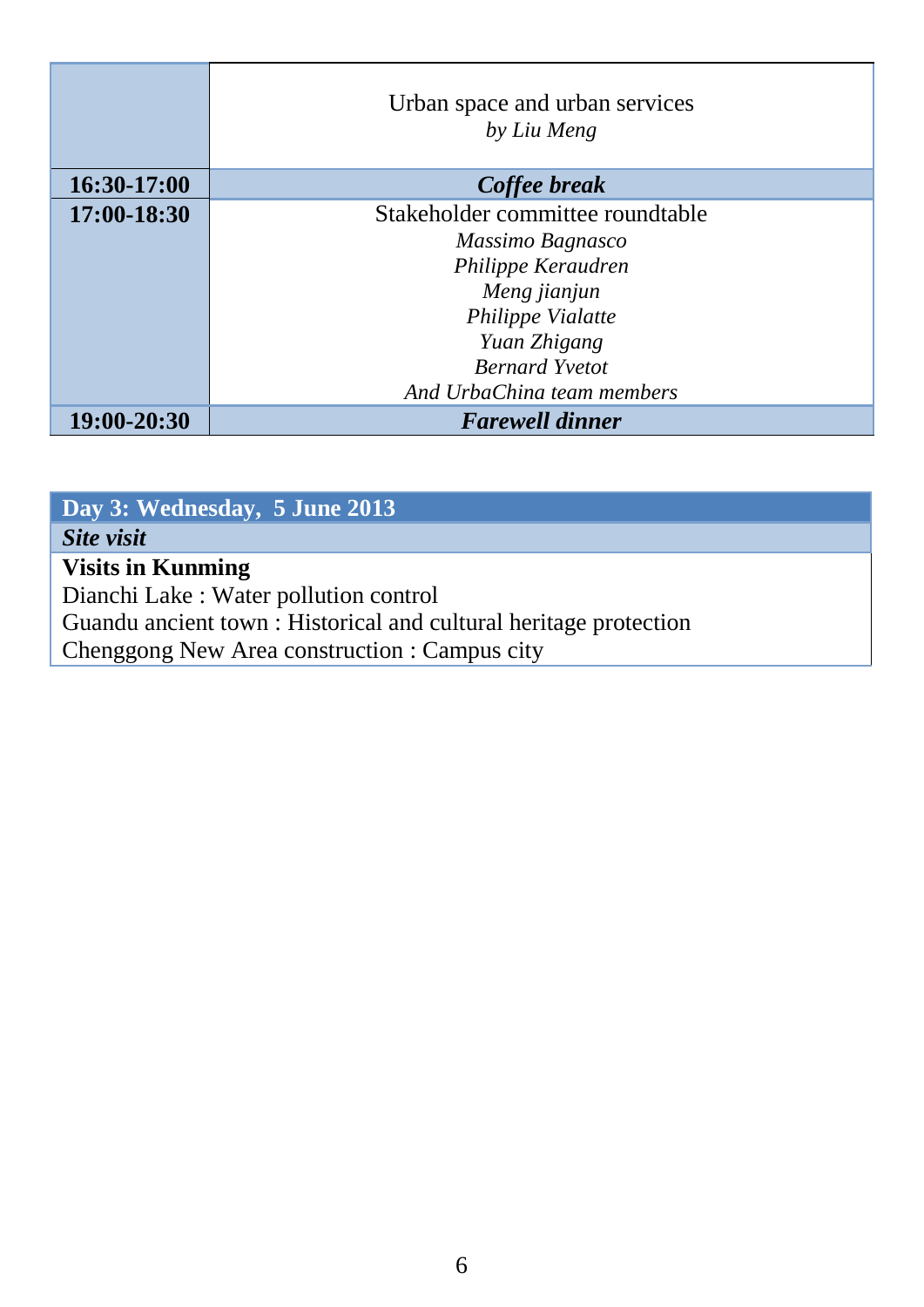|             | Urban space and urban services<br>by Liu Meng |
|-------------|-----------------------------------------------|
| 16:30-17:00 | Coffee break                                  |
| 17:00-18:30 | Stakeholder committee roundtable              |
|             | Massimo Bagnasco                              |
|             | Philippe Keraudren                            |
|             | Meng jianjun                                  |
|             | Philippe Vialatte                             |
|             | Yuan Zhigang                                  |
|             | <b>Bernard Yvetot</b>                         |
|             | And UrbaChina team members                    |
| 19:00-20:30 | <b>Farewell dinner</b>                        |

| Day 3: Wednesday, 5 June 2013                                     |
|-------------------------------------------------------------------|
| Site visit                                                        |
| <b>Visits in Kunming</b>                                          |
| Dianchi Lake: Water pollution control                             |
| Guandu ancient town : Historical and cultural heritage protection |
| Chenggong New Area construction : Campus city                     |
|                                                                   |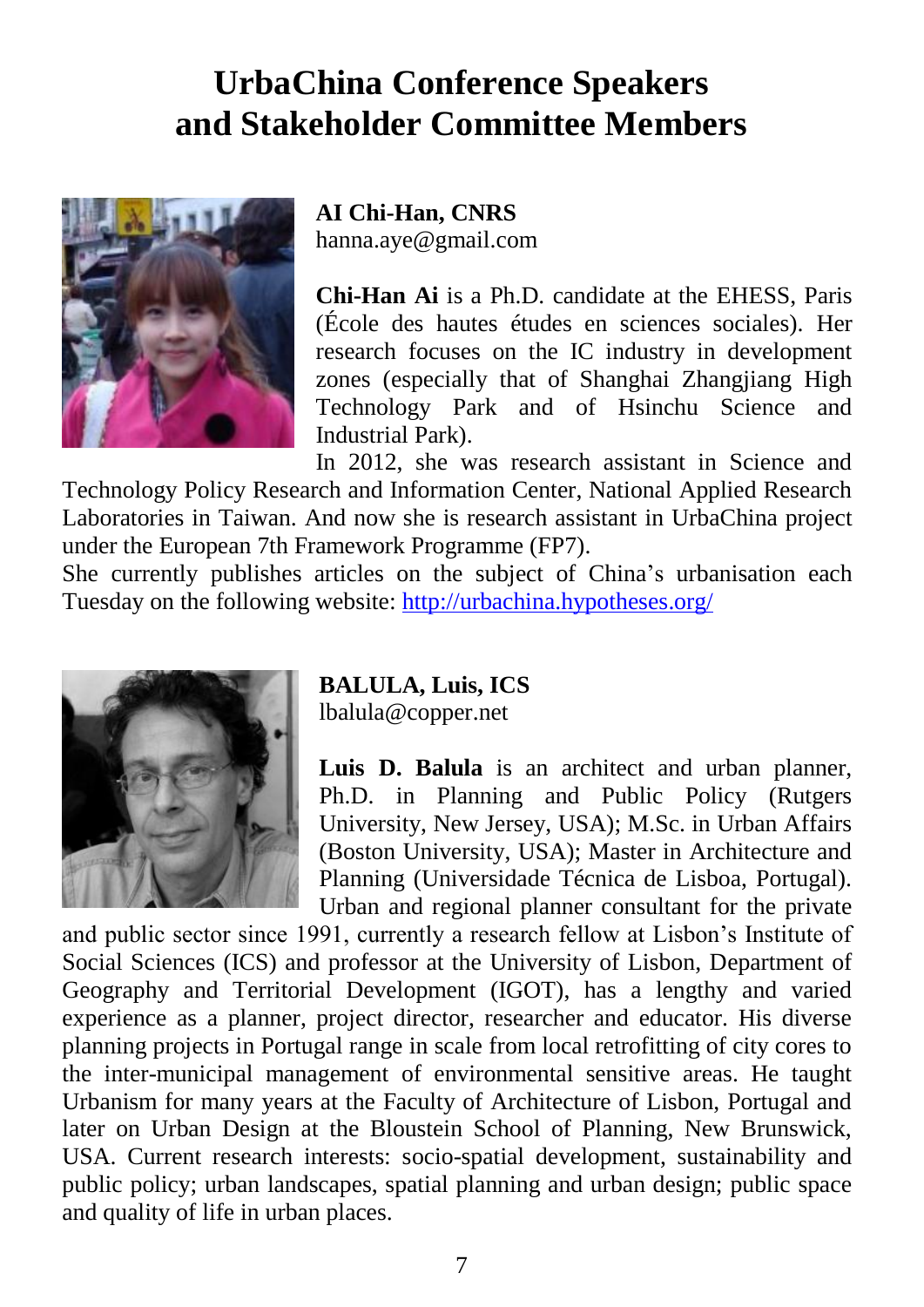# **UrbaChina Conference Speakers and Stakeholder Committee Members**

![](_page_7_Picture_1.jpeg)

#### **AI Chi-Han, CNRS** hanna.aye@gmail.com

**Chi-Han Ai** is a Ph.D. candidate at the EHESS, Paris (École des hautes études en sciences sociales). Her research focuses on the IC industry in development zones (especially that of Shanghai Zhangjiang High Technology Park and of Hsinchu Science and Industrial Park).

In 2012, she was research assistant in Science and Technology Policy Research and Information Center, National Applied Research Laboratories in Taiwan. And now she is research assistant in UrbaChina project under the European 7th Framework Programme (FP7).

She currently publishes articles on the subject of China's urbanisation each Tuesday on the following website:<http://urbachina.hypotheses.org/>

![](_page_7_Picture_6.jpeg)

**BALULA, Luis, ICS** lbalula@copper.net

**Luis D. Balula** is an architect and urban planner, Ph.D. in Planning and Public Policy (Rutgers University, New Jersey, USA); M.Sc. in Urban Affairs (Boston University, USA); Master in Architecture and Planning (Universidade Técnica de Lisboa, Portugal). Urban and regional planner consultant for the private

and public sector since 1991, currently a research fellow at Lisbon's Institute of Social Sciences (ICS) and professor at the University of Lisbon, Department of Geography and Territorial Development (IGOT), has a lengthy and varied experience as a planner, project director, researcher and educator. His diverse planning projects in Portugal range in scale from local retrofitting of city cores to the inter-municipal management of environmental sensitive areas. He taught Urbanism for many years at the Faculty of Architecture of Lisbon, Portugal and later on Urban Design at the Bloustein School of Planning, New Brunswick, USA. Current research interests: socio-spatial development, sustainability and public policy; urban landscapes, spatial planning and urban design; public space and quality of life in urban places.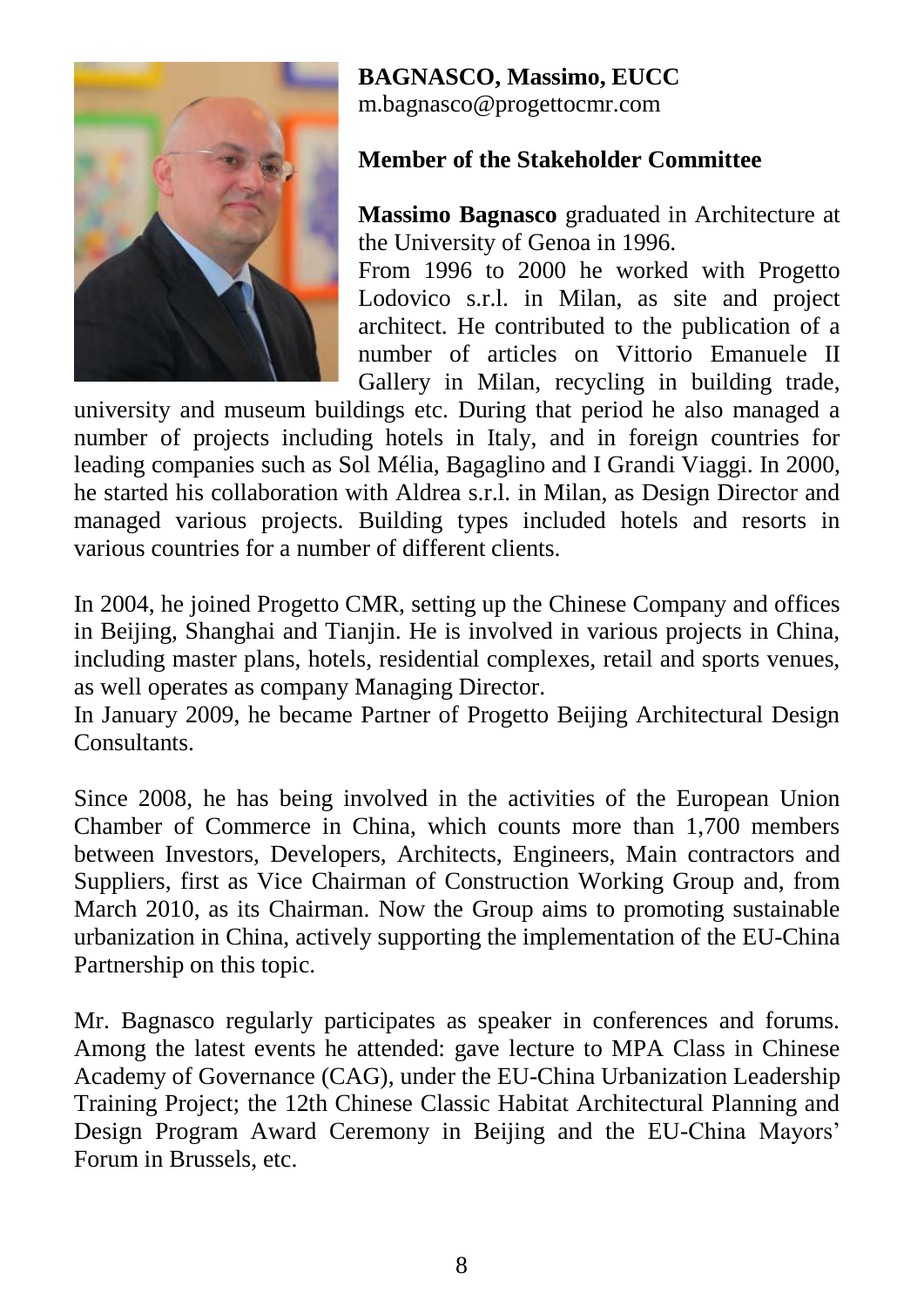![](_page_8_Picture_0.jpeg)

#### **BAGNASCO, Massimo, EUCC**

m.bagnasco@progettocmr.com

#### **Member of the Stakeholder Committee**

**Massimo Bagnasco** graduated in Architecture at the University of Genoa in 1996.

From 1996 to 2000 he worked with Progetto Lodovico s.r.l. in Milan, as site and project architect. He contributed to the publication of a number of articles on Vittorio Emanuele II Gallery in Milan, recycling in building trade,

university and museum buildings etc. During that period he also managed a number of projects including hotels in Italy, and in foreign countries for leading companies such as Sol Mélia, Bagaglino and I Grandi Viaggi. In 2000, he started his collaboration with Aldrea s.r.l. in Milan, as Design Director and managed various projects. Building types included hotels and resorts in various countries for a number of different clients.

In 2004, he joined Progetto CMR, setting up the Chinese Company and offices in Beijing, Shanghai and Tianjin. He is involved in various projects in China, including master plans, hotels, residential complexes, retail and sports venues, as well operates as company Managing Director.

In January 2009, he became Partner of Progetto Beijing Architectural Design **Consultants** 

Since 2008, he has being involved in the activities of the European Union Chamber of Commerce in China, which counts more than 1,700 members between Investors, Developers, Architects, Engineers, Main contractors and Suppliers, first as Vice Chairman of Construction Working Group and, from March 2010, as its Chairman. Now the Group aims to promoting sustainable urbanization in China, actively supporting the implementation of the EU-China Partnership on this topic.

Mr. Bagnasco regularly participates as speaker in conferences and forums. Among the latest events he attended: gave lecture to MPA Class in Chinese Academy of Governance (CAG), under the EU-China Urbanization Leadership Training Project; the 12th Chinese Classic Habitat Architectural Planning and Design Program Award Ceremony in Beijing and the EU-China Mayors' Forum in Brussels, etc.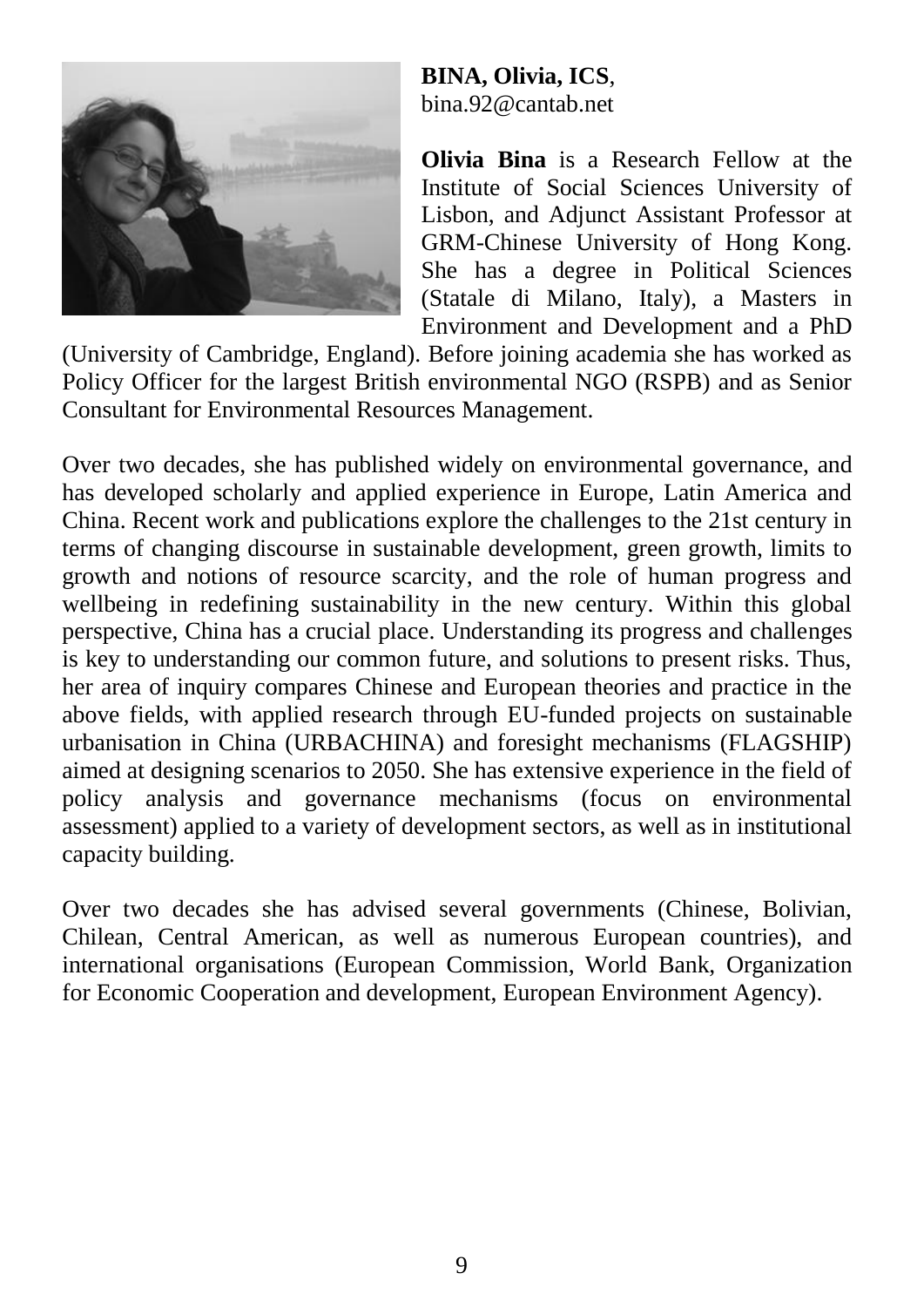![](_page_9_Picture_0.jpeg)

**BINA, Olivia, ICS**, bina.92@cantab.net

**Olivia Bina** is a Research Fellow at the Institute of Social Sciences University of Lisbon, and Adjunct Assistant Professor at GRM-Chinese University of Hong Kong. She has a degree in Political Sciences (Statale di Milano, Italy), a Masters in Environment and Development and a PhD

(University of Cambridge, England). Before joining academia she has worked as Policy Officer for the largest British environmental NGO (RSPB) and as Senior Consultant for Environmental Resources Management.

Over two decades, she has published widely on environmental governance, and has developed scholarly and applied experience in Europe, Latin America and China. Recent work and publications explore the challenges to the 21st century in terms of changing discourse in sustainable development, green growth, limits to growth and notions of resource scarcity, and the role of human progress and wellbeing in redefining sustainability in the new century. Within this global perspective, China has a crucial place. Understanding its progress and challenges is key to understanding our common future, and solutions to present risks. Thus, her area of inquiry compares Chinese and European theories and practice in the above fields, with applied research through EU-funded projects on sustainable urbanisation in China (URBACHINA) and foresight mechanisms (FLAGSHIP) aimed at designing scenarios to 2050. She has extensive experience in the field of policy analysis and governance mechanisms (focus on environmental assessment) applied to a variety of development sectors, as well as in institutional capacity building.

Over two decades she has advised several governments (Chinese, Bolivian, Chilean, Central American, as well as numerous European countries), and international organisations (European Commission, World Bank, Organization for Economic Cooperation and development, European Environment Agency).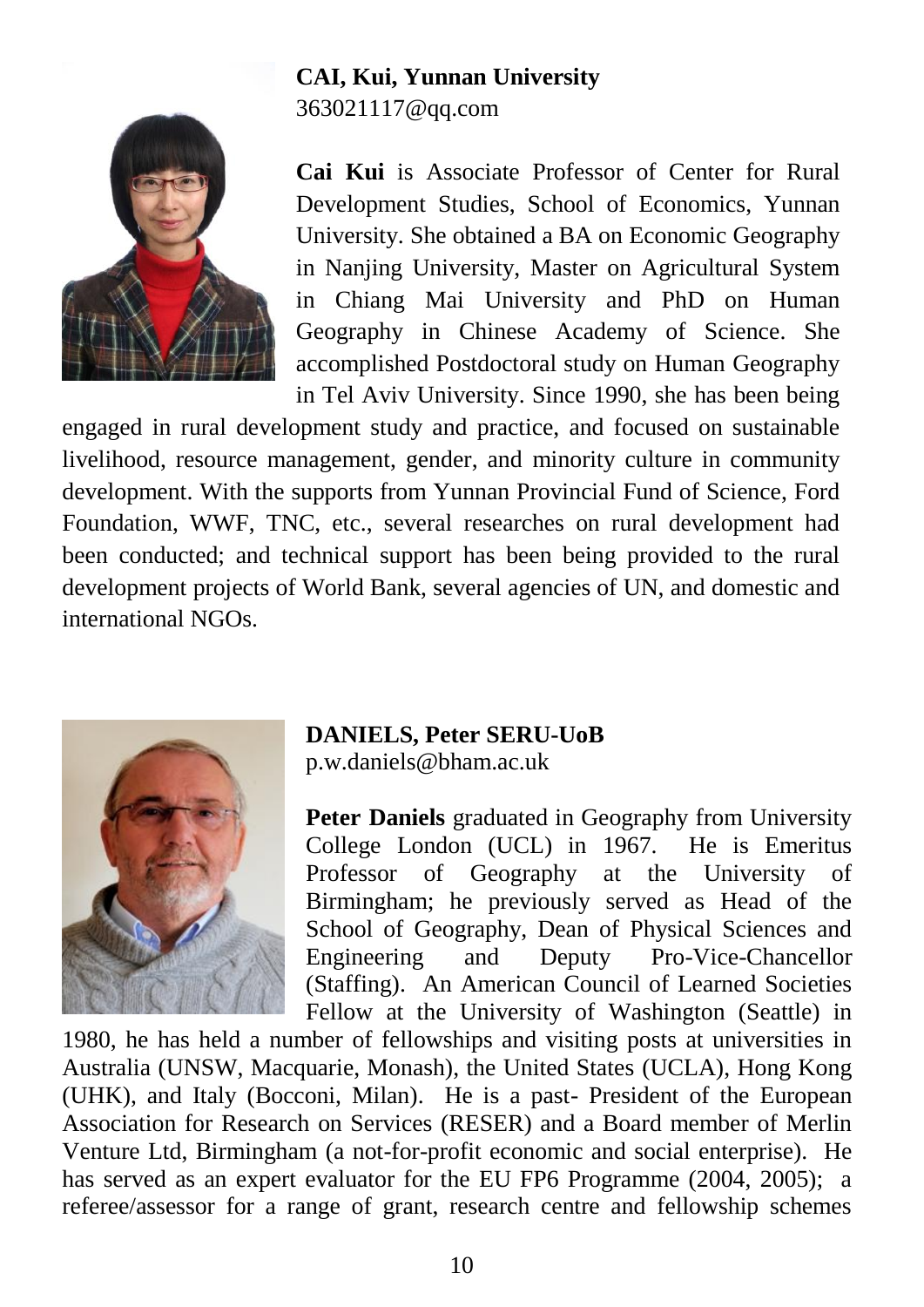![](_page_10_Picture_0.jpeg)

# **CAI, Kui, Yunnan University**

363021117@qq.com

**Cai Kui** is Associate Professor of Center for Rural Development Studies, School of Economics, Yunnan University. She obtained a BA on Economic Geography in Nanjing University, Master on Agricultural System in Chiang Mai University and PhD on Human Geography in Chinese Academy of Science. She accomplished Postdoctoral study on Human Geography in Tel Aviv University. Since 1990, she has been being

engaged in rural development study and practice, and focused on sustainable livelihood, resource management, gender, and minority culture in community development. With the supports from Yunnan Provincial Fund of Science, Ford Foundation, WWF, TNC, etc., several researches on rural development had been conducted; and technical support has been being provided to the rural development projects of World Bank, several agencies of UN, and domestic and international NGOs.

![](_page_10_Picture_5.jpeg)

#### **DANIELS, Peter SERU-UoB**

p.w.daniels@bham.ac.uk

**Peter Daniels** graduated in Geography from University College London (UCL) in 1967. He is Emeritus Professor of Geography at the University of Birmingham; he previously served as Head of the School of Geography, Dean of Physical Sciences and Engineering and Deputy Pro-Vice-Chancellor (Staffing). An American Council of Learned Societies Fellow at the University of Washington (Seattle) in

1980, he has held a number of fellowships and visiting posts at universities in Australia (UNSW, Macquarie, Monash), the United States (UCLA), Hong Kong (UHK), and Italy (Bocconi, Milan). He is a past- President of the European Association for Research on Services (RESER) and a Board member of Merlin Venture Ltd, Birmingham (a not-for-profit economic and social enterprise). He has served as an expert evaluator for the EU FP6 Programme (2004, 2005); a referee/assessor for a range of grant, research centre and fellowship schemes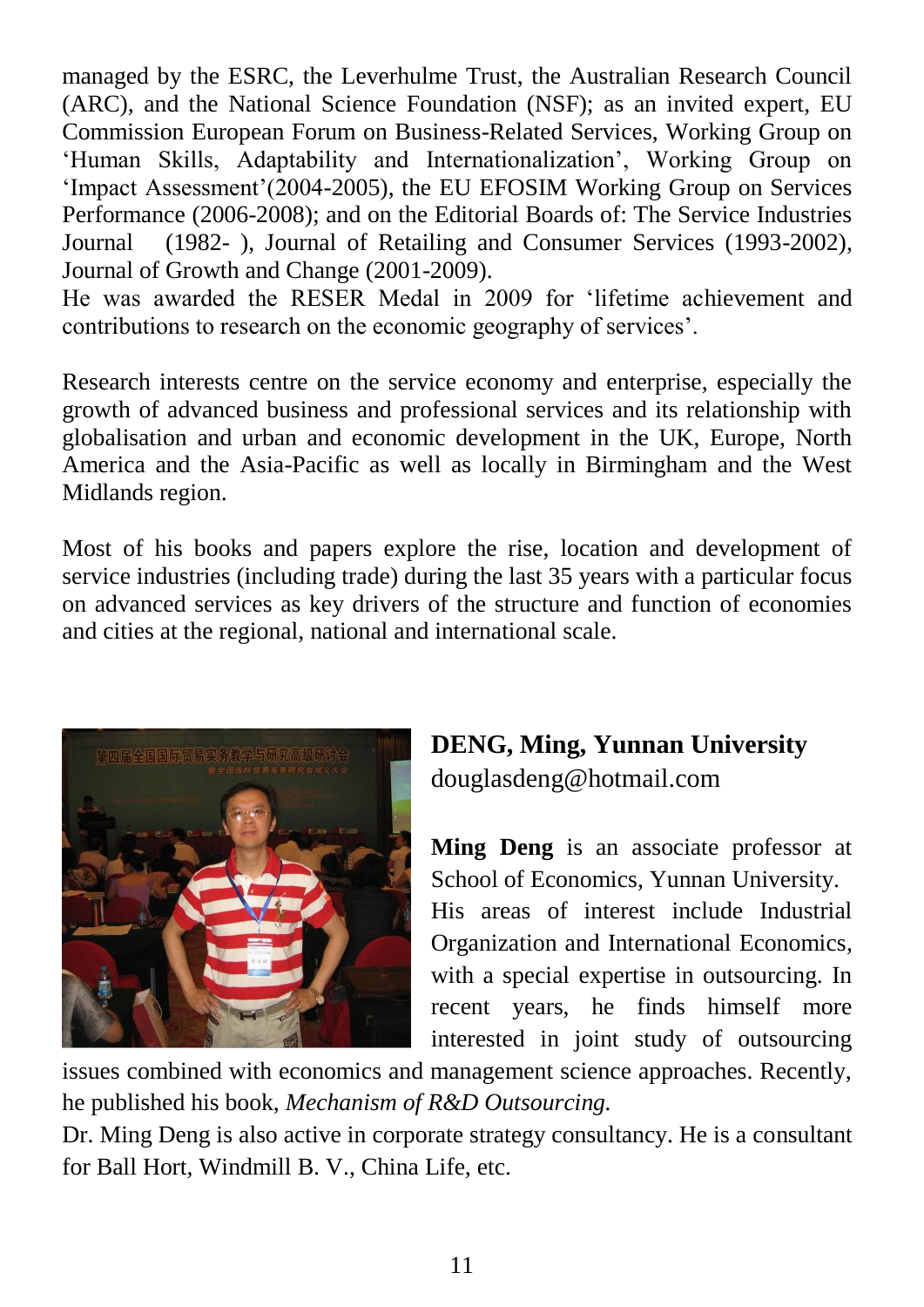managed by the ESRC, the Leverhulme Trust, the Australian Research Council (ARC), and the National Science Foundation (NSF); as an invited expert, EU Commission European Forum on Business-Related Services, Working Group on 'Human Skills, Adaptability and Internationalization', Working Group on 'Impact Assessment'(2004-2005), the EU EFOSIM Working Group on Services Performance (2006-2008); and on the Editorial Boards of: The Service Industries Journal (1982- ), Journal of Retailing and Consumer Services (1993-2002), Journal of Growth and Change (2001-2009).

He was awarded the RESER Medal in 2009 for 'lifetime achievement and contributions to research on the economic geography of services'.

Research interests centre on the service economy and enterprise, especially the growth of advanced business and professional services and its relationship with globalisation and urban and economic development in the UK, Europe, North America and the Asia-Pacific as well as locally in Birmingham and the West Midlands region.

Most of his books and papers explore the rise, location and development of service industries (including trade) during the last 35 years with a particular focus on advanced services as key drivers of the structure and function of economies and cities at the regional, national and international scale.

![](_page_11_Picture_4.jpeg)

### **DENG, Ming, Yunnan University** douglasdeng@hotmail.com

**Ming Deng** is an associate professor at School of Economics, Yunnan University. His areas of interest include Industrial Organization and International Economics, with a special expertise in outsourcing. In recent years, he finds himself more interested in joint study of outsourcing

issues combined with economics and management science approaches. Recently, he published his book, *Mechanism of R&D Outsourcing.*

Dr. Ming Deng is also active in corporate strategy consultancy. He is a consultant for Ball Hort, Windmill B. V., China Life, etc.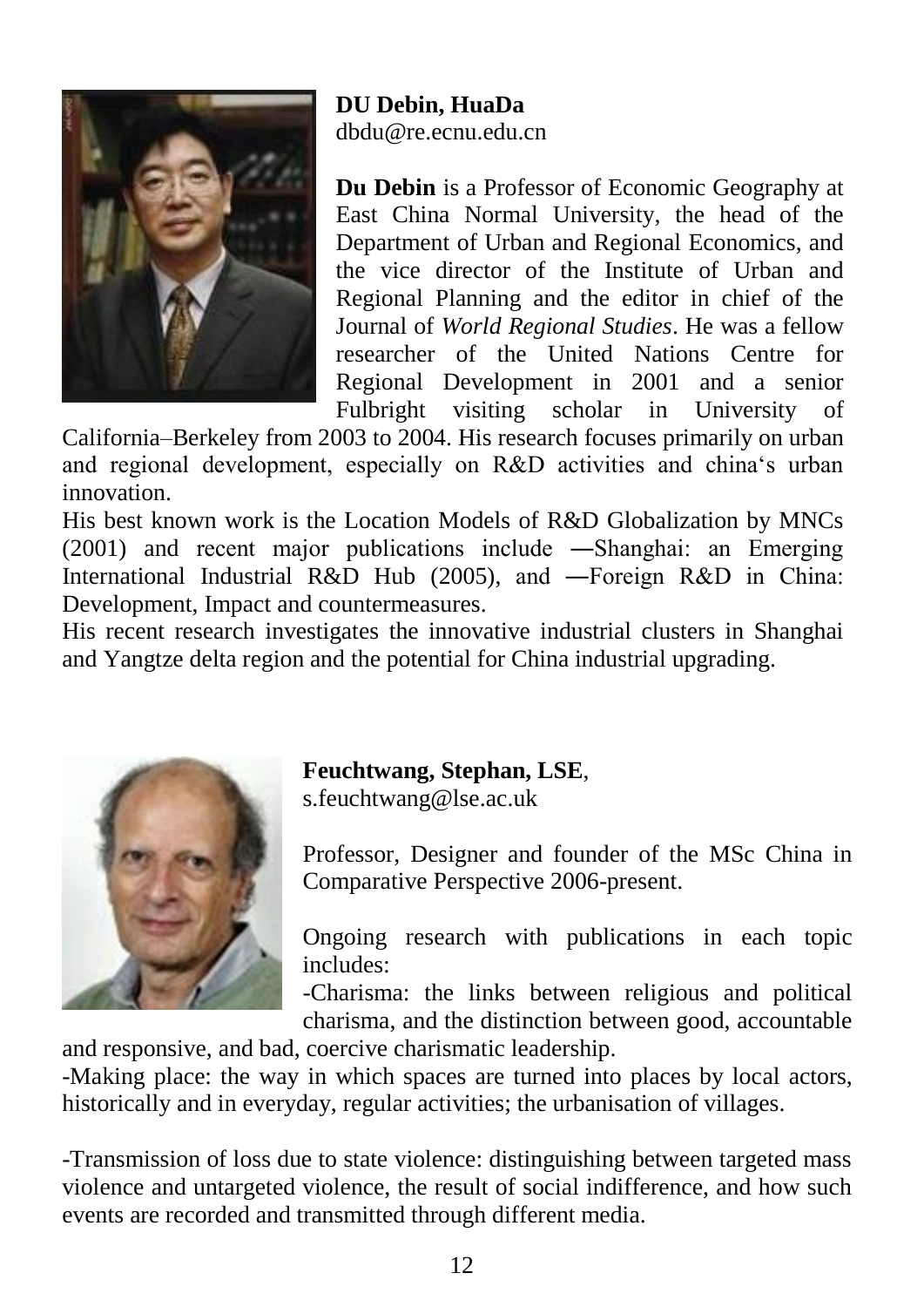![](_page_12_Picture_0.jpeg)

**DU Debin, HuaDa** dbdu@re.ecnu.edu.cn

**Du Debin** is a Professor of Economic Geography at East China Normal University, the head of the Department of Urban and Regional Economics, and the vice director of the Institute of Urban and Regional Planning and the editor in chief of the Journal of *World Regional Studies*. He was a fellow researcher of the United Nations Centre for Regional Development in 2001 and a senior Fulbright visiting scholar in University of

California–Berkeley from 2003 to 2004. His research focuses primarily on urban and regional development, especially on R&D activities and china's urban innovation.

His best known work is the Location Models of R&D Globalization by MNCs (2001) and recent major publications include ―Shanghai: an Emerging International Industrial R&D Hub (2005), and ―Foreign R&D in China: Development, Impact and countermeasures.

His recent research investigates the innovative industrial clusters in Shanghai and Yangtze delta region and the potential for China industrial upgrading.

![](_page_12_Picture_6.jpeg)

**Feuchtwang, Stephan, LSE**,

s.feuchtwang@lse.ac.uk

Professor, Designer and founder of the MSc China in Comparative Perspective 2006-present.

Ongoing research with publications in each topic includes:

-Charisma: the links between religious and political charisma, and the distinction between good, accountable

and responsive, and bad, coercive charismatic leadership.

-Making place: the way in which spaces are turned into places by local actors, historically and in everyday, regular activities; the urbanisation of villages.

-Transmission of loss due to state violence: distinguishing between targeted mass violence and untargeted violence, the result of social indifference, and how such events are recorded and transmitted through different media.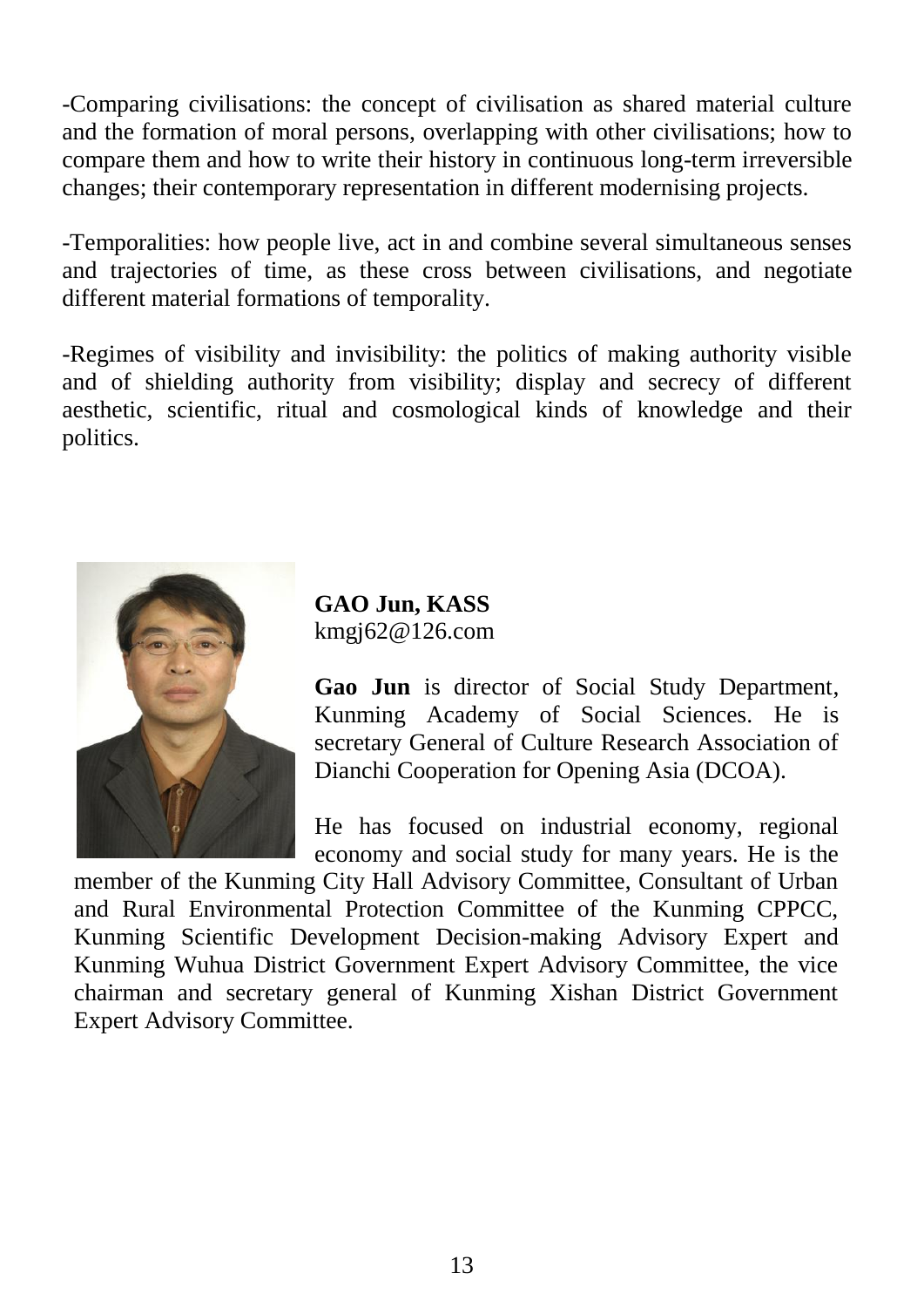-Comparing civilisations: the concept of civilisation as shared material culture and the formation of moral persons, overlapping with other civilisations; how to compare them and how to write their history in continuous long-term irreversible changes; their contemporary representation in different modernising projects.

-Temporalities: how people live, act in and combine several simultaneous senses and trajectories of time, as these cross between civilisations, and negotiate different material formations of temporality.

-Regimes of visibility and invisibility: the politics of making authority visible and of shielding authority from visibility; display and secrecy of different aesthetic, scientific, ritual and cosmological kinds of knowledge and their politics.

![](_page_13_Picture_3.jpeg)

**GAO Jun, KASS** kmgj62@126.com

**Gao Jun** is director of Social Study Department, Kunming Academy of Social Sciences. He is secretary General of Culture Research Association of Dianchi Cooperation for Opening Asia (DCOA).

He has focused on industrial economy, regional economy and social study for many years. He is the

member of the Kunming City Hall Advisory Committee, Consultant of Urban and Rural Environmental Protection Committee of the Kunming CPPCC, Kunming Scientific Development Decision-making Advisory Expert and Kunming Wuhua District Government Expert Advisory Committee, the vice chairman and secretary general of Kunming Xishan District Government Expert Advisory Committee.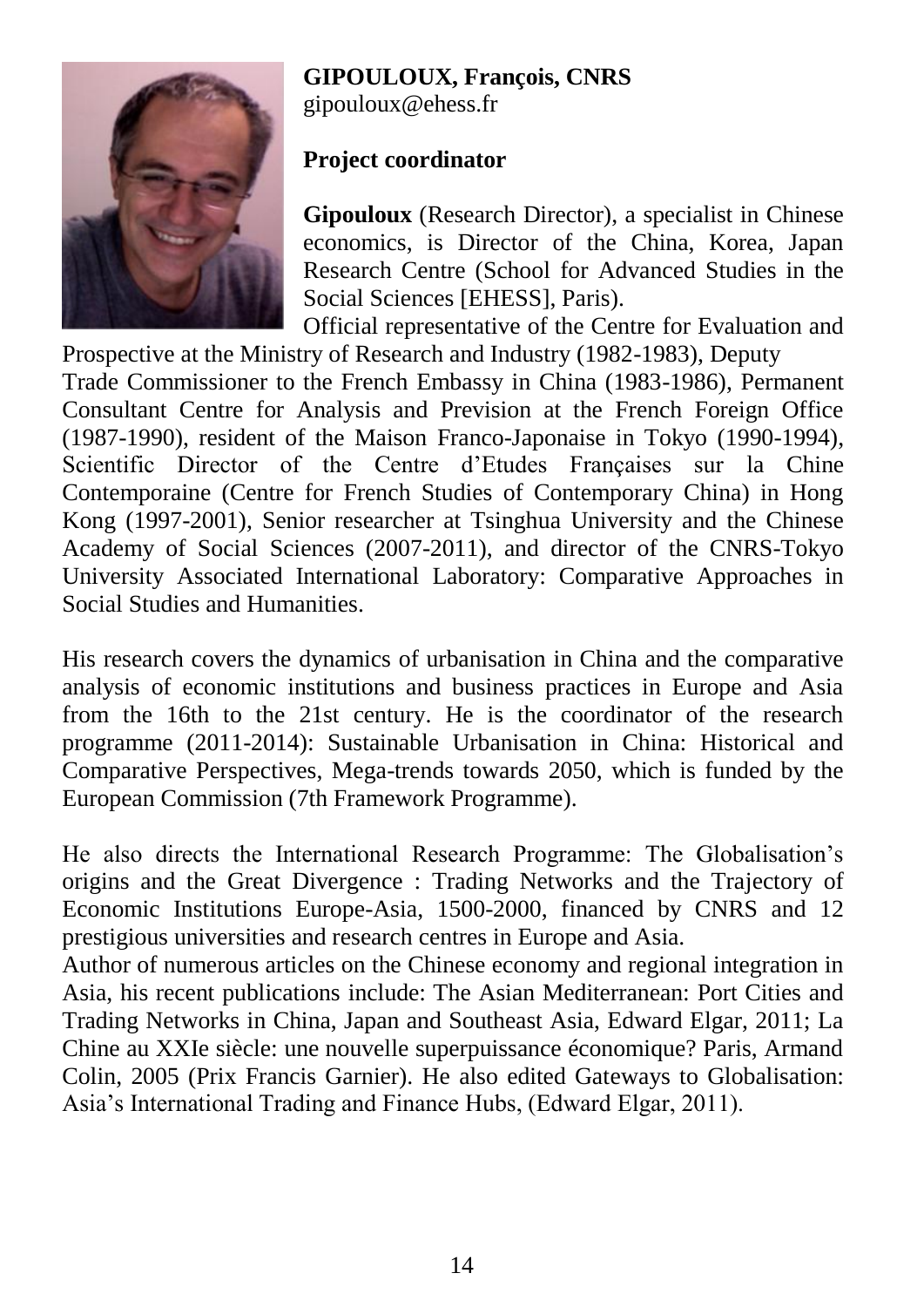#### **GIPOULOUX, François, CNRS**

![](_page_14_Picture_1.jpeg)

gipouloux@ehess.fr

#### **Project coordinator**

**Gipouloux** (Research Director), a specialist in Chinese economics, is Director of the China, Korea, Japan Research Centre (School for Advanced Studies in the Social Sciences [EHESS], Paris).

Official representative of the Centre for Evaluation and Prospective at the Ministry of Research and Industry (1982-1983), Deputy

Trade Commissioner to the French Embassy in China (1983-1986), Permanent Consultant Centre for Analysis and Prevision at the French Foreign Office (1987-1990), resident of the Maison Franco-Japonaise in Tokyo (1990-1994), Scientific Director of the Centre d'Etudes Françaises sur la Chine Contemporaine (Centre for French Studies of Contemporary China) in Hong Kong (1997-2001), Senior researcher at Tsinghua University and the Chinese Academy of Social Sciences (2007-2011), and director of the CNRS-Tokyo University Associated International Laboratory: Comparative Approaches in Social Studies and Humanities.

His research covers the dynamics of urbanisation in China and the comparative analysis of economic institutions and business practices in Europe and Asia from the 16th to the 21st century. He is the coordinator of the research programme (2011-2014): Sustainable Urbanisation in China: Historical and Comparative Perspectives, Mega-trends towards 2050, which is funded by the European Commission (7th Framework Programme).

He also directs the International Research Programme: The Globalisation's origins and the Great Divergence : Trading Networks and the Trajectory of Economic Institutions Europe-Asia, 1500-2000, financed by CNRS and 12 prestigious universities and research centres in Europe and Asia.

Author of numerous articles on the Chinese economy and regional integration in Asia, his recent publications include: The Asian Mediterranean: Port Cities and Trading Networks in China, Japan and Southeast Asia, Edward Elgar, 2011; La Chine au XXIe siècle: une nouvelle superpuissance économique? Paris, Armand Colin, 2005 (Prix Francis Garnier). He also edited Gateways to Globalisation: Asia's International Trading and Finance Hubs, (Edward Elgar, 2011).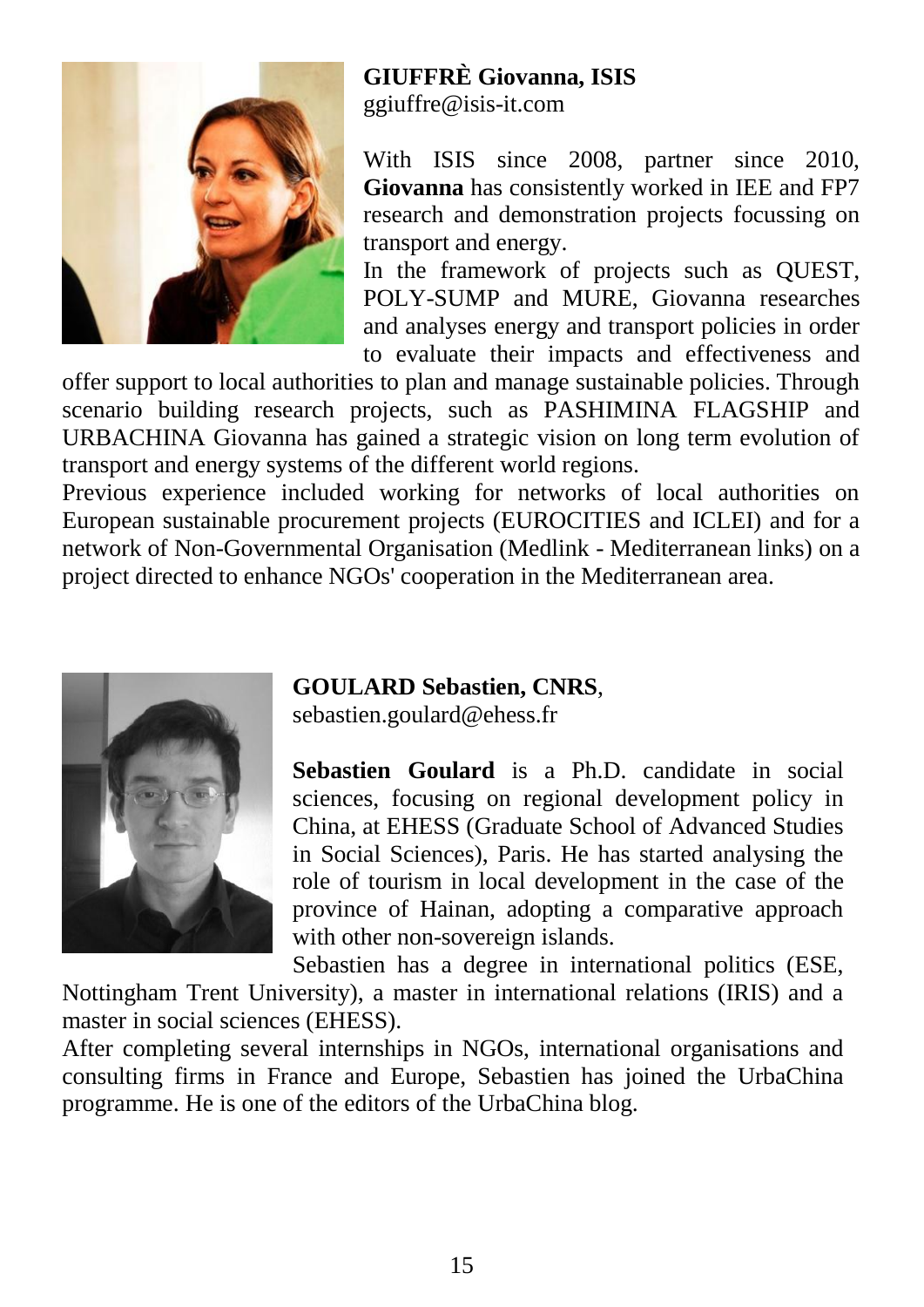![](_page_15_Picture_0.jpeg)

### **GIUFFRÈ Giovanna, ISIS**

ggiuffre@isis-it.com

With ISIS since 2008, partner since 2010, **Giovanna** has consistently worked in IEE and FP7 research and demonstration projects focussing on transport and energy.

In the framework of projects such as QUEST, POLY-SUMP and MURE, Giovanna researches and analyses energy and transport policies in order to evaluate their impacts and effectiveness and

offer support to local authorities to plan and manage sustainable policies. Through scenario building research projects, such as PASHIMINA FLAGSHIP and URBACHINA Giovanna has gained a strategic vision on long term evolution of transport and energy systems of the different world regions.

Previous experience included working for networks of local authorities on European sustainable procurement projects (EUROCITIES and ICLEI) and for a network of Non-Governmental Organisation (Medlink - Mediterranean links) on a project directed to enhance NGOs' cooperation in the Mediterranean area.

![](_page_15_Picture_7.jpeg)

#### **GOULARD Sebastien, CNRS**,

sebastien.goulard@ehess.fr

**Sebastien Goulard** is a Ph.D. candidate in social sciences, focusing on regional development policy in China, at EHESS (Graduate School of Advanced Studies in Social Sciences), Paris. He has started analysing the role of tourism in local development in the case of the province of Hainan, adopting a comparative approach with other non-sovereign islands.

Sebastien has a degree in international politics (ESE, Nottingham Trent University), a master in international relations (IRIS) and a master in social sciences (EHESS).

After completing several internships in NGOs, international organisations and consulting firms in France and Europe, Sebastien has joined the UrbaChina programme. He is one of the editors of the UrbaChina blog.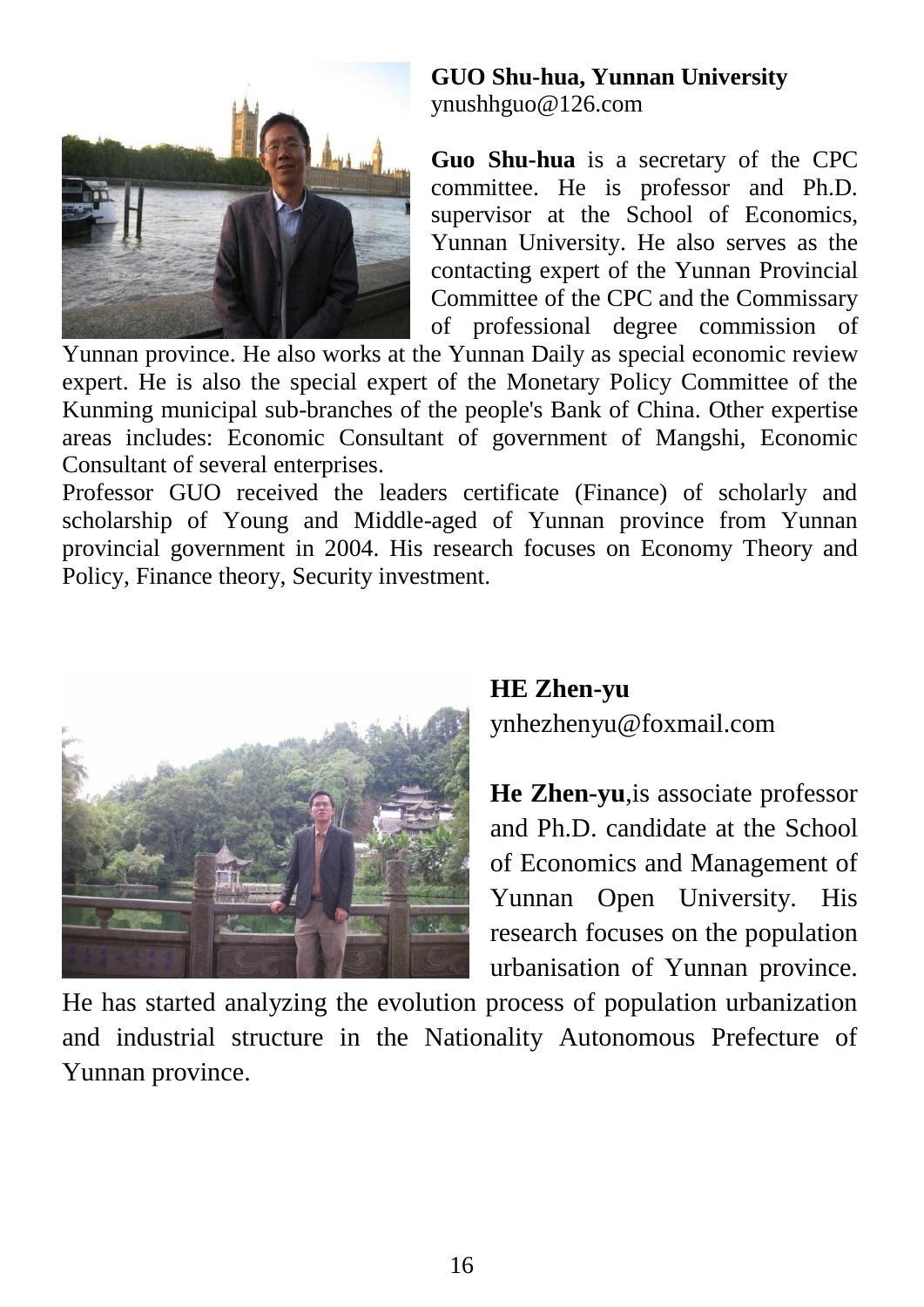![](_page_16_Picture_0.jpeg)

#### **GUO Shu-hua, Yunnan University** ynushhguo@126.com

**Guo Shu-hua** is a secretary of the CPC committee. He is professor and Ph.D. supervisor at the School of Economics, Yunnan University. He also serves as the contacting expert of the Yunnan Provincial Committee of the CPC and the Commissary of professional degree commission of

Yunnan province. He also works at the Yunnan Daily as special economic review expert. He is also the special expert of the Monetary Policy Committee of the Kunming municipal sub-branches of the people's Bank of China. Other expertise areas includes: Economic Consultant of government of Mangshi, Economic Consultant of several enterprises.

Professor GUO received the leaders certificate (Finance) of scholarly and scholarship of Young and Middle-aged of Yunnan province from Yunnan provincial government in 2004. His research focuses on Economy Theory and Policy, Finance theory, Security investment.

![](_page_16_Picture_5.jpeg)

#### **HE Zhen-yu** ynhezhenyu@foxmail.com

**He Zhen-yu**,is associate professor and Ph.D. candidate at the School of Economics and Management of Yunnan Open University. His research focuses on the population urbanisation of Yunnan province.

He has started analyzing the evolution process of population urbanization and industrial structure in the Nationality Autonomous Prefecture of Yunnan province.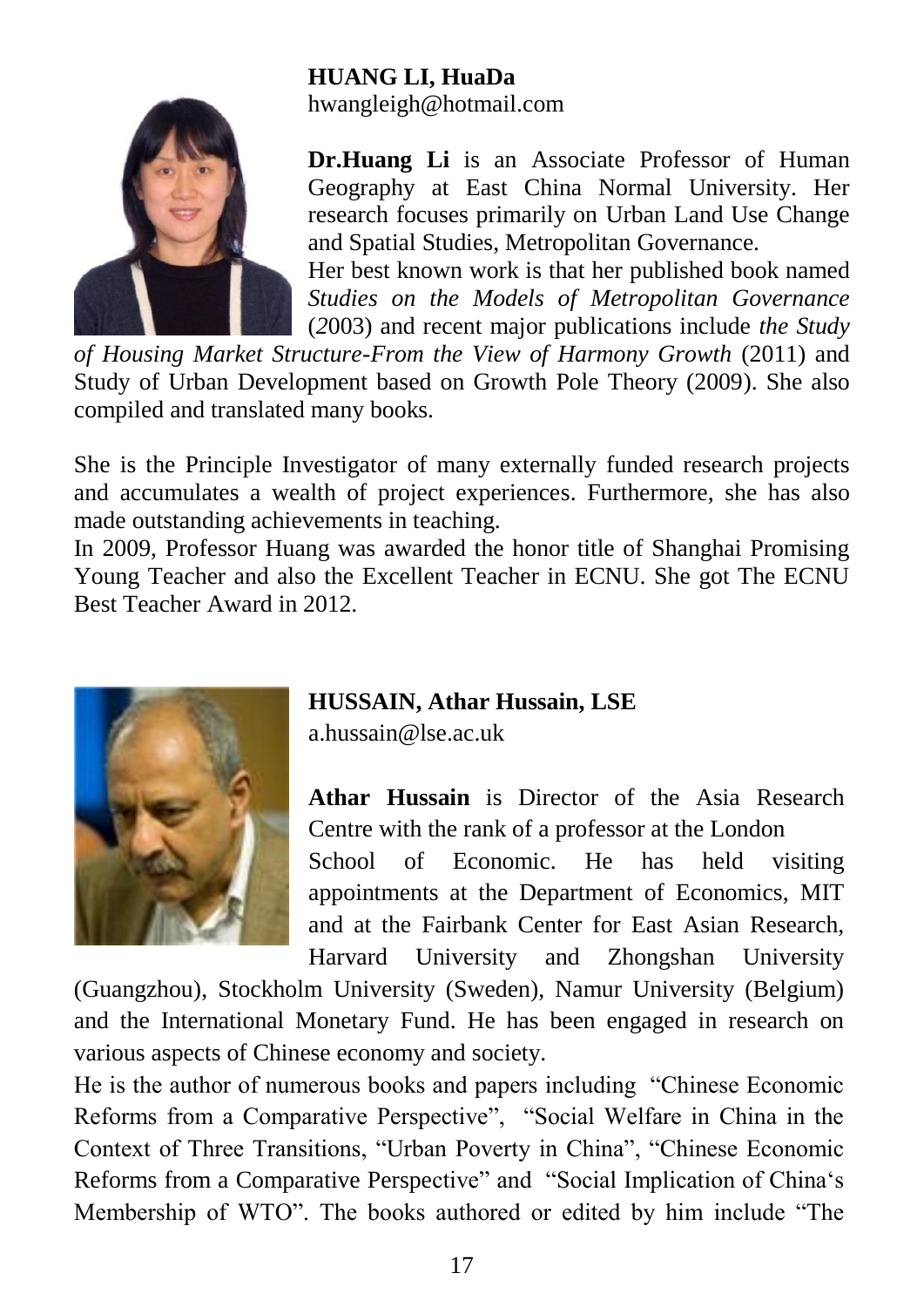#### **HUANG LI, HuaDa**

![](_page_17_Picture_1.jpeg)

hwangleigh@hotmail.com

**Dr.Huang Li** is an Associate Professor of Human Geography at East China Normal University. Her research focuses primarily on Urban Land Use Change and Spatial Studies, Metropolitan Governance.

Her best known work is that her published book named *Studies on the Models of Metropolitan Governance*  (*2*003) and recent major publications include *the Study* 

*of Housing Market Structure-From the View of Harmony Growth* (2011) and Study of Urban Development based on Growth Pole Theory (2009). She also compiled and translated many books.

She is the Principle Investigator of many externally funded research projects and accumulates a wealth of project experiences. Furthermore, she has also made outstanding achievements in teaching.

In 2009, Professor Huang was awarded the honor title of Shanghai Promising Young Teacher and also the Excellent Teacher in ECNU. She got The ECNU Best Teacher Award in 2012.

![](_page_17_Picture_8.jpeg)

#### **HUSSAIN, Athar Hussain, LSE**

a.hussain@lse.ac.uk

**Athar Hussain** is Director of the Asia Research Centre with the rank of a professor at the London

School of Economic. He has held visiting appointments at the Department of Economics, MIT and at the Fairbank Center for East Asian Research, Harvard University and Zhongshan University

(Guangzhou), Stockholm University (Sweden), Namur University (Belgium) and the International Monetary Fund. He has been engaged in research on various aspects of Chinese economy and society.

He is the author of numerous books and papers including "Chinese Economic Reforms from a Comparative Perspective", "Social Welfare in China in the Context of Three Transitions, "Urban Poverty in China", "Chinese Economic Reforms from a Comparative Perspective" and "Social Implication of China's Membership of WTO". The books authored or edited by him include "The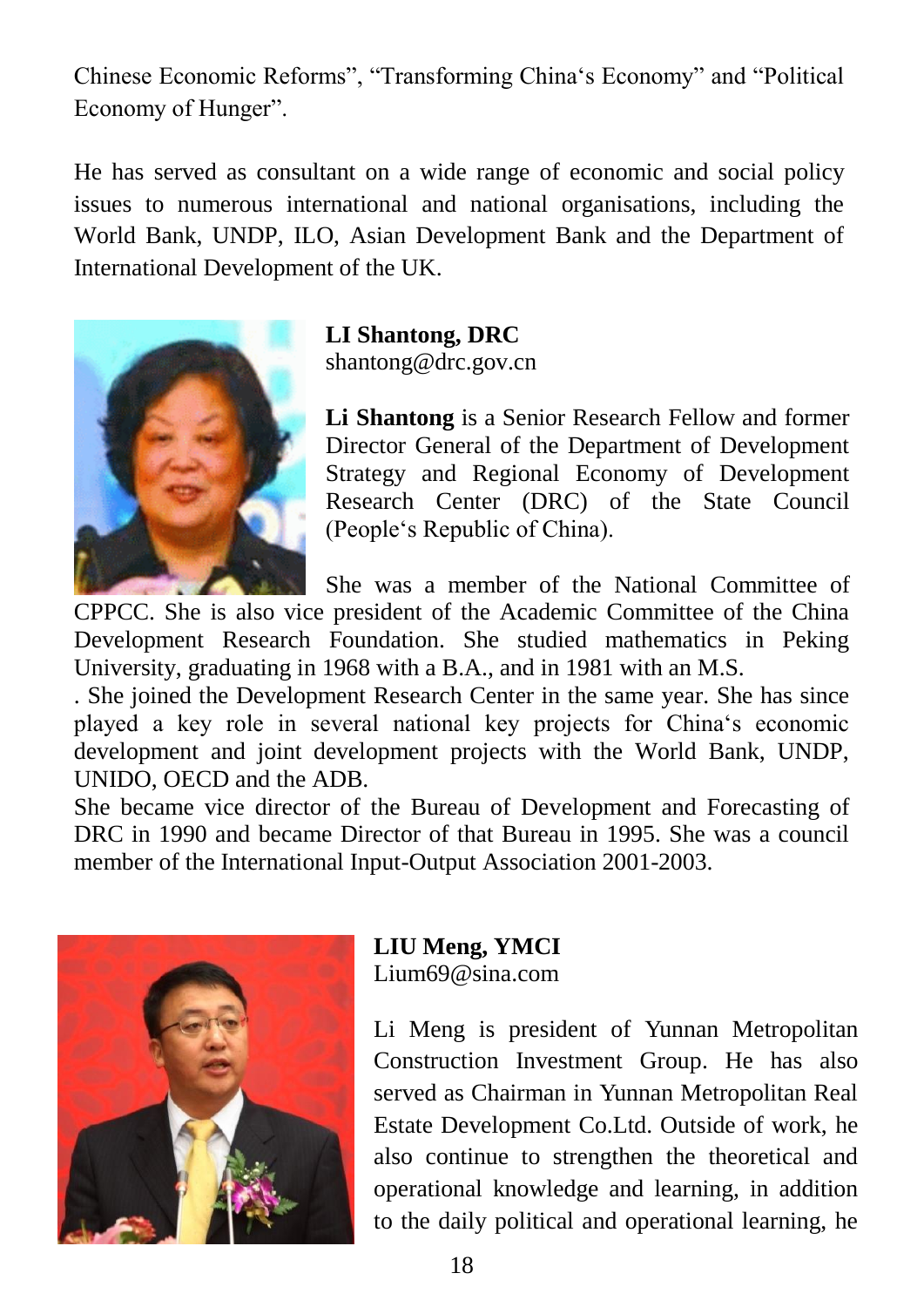Chinese Economic Reforms", "Transforming China's Economy" and "Political Economy of Hunger".

He has served as consultant on a wide range of economic and social policy issues to numerous international and national organisations, including the World Bank, UNDP, ILO, Asian Development Bank and the Department of International Development of the UK.

![](_page_18_Picture_2.jpeg)

**LI Shantong, DRC** shantong@drc.gov.cn

**Li Shantong** is a Senior Research Fellow and former Director General of the Department of Development Strategy and Regional Economy of Development Research Center (DRC) of the State Council (People's Republic of China).

She was a member of the National Committee of

CPPCC. She is also vice president of the Academic Committee of the China Development Research Foundation. She studied mathematics in Peking University, graduating in 1968 with a B.A., and in 1981 with an M.S.

. She joined the Development Research Center in the same year. She has since played a key role in several national key projects for China's economic development and joint development projects with the World Bank, UNDP, UNIDO, OECD and the ADB.

She became vice director of the Bureau of Development and Forecasting of DRC in 1990 and became Director of that Bureau in 1995. She was a council member of the International Input-Output Association 2001-2003.

![](_page_18_Picture_9.jpeg)

### **LIU Meng, YMCI**

Lium69@sina.com

Li Meng is president of Yunnan Metropolitan Construction Investment Group. He has also served as Chairman in Yunnan Metropolitan Real Estate Development Co.Ltd. Outside of work, he also continue to strengthen the theoretical and operational knowledge and learning, in addition to the daily political and operational learning, he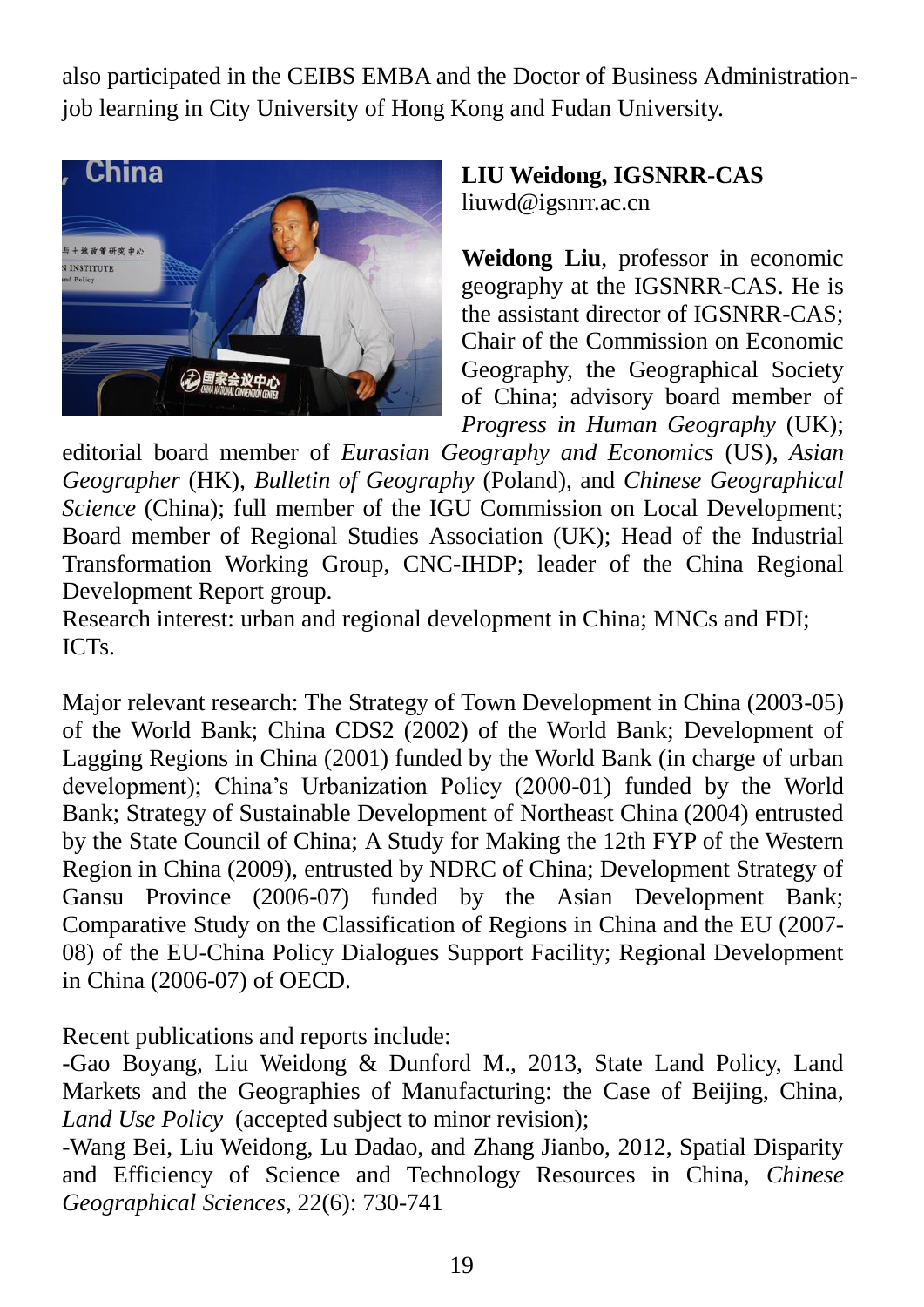also participated in the CEIBS EMBA and the Doctor of Business Administrationjob learning in City University of Hong Kong and Fudan University.

![](_page_19_Picture_1.jpeg)

**LIU Weidong, IGSNRR-CAS** liuwd@igsnrr.ac.cn

**Weidong Liu**, professor in economic geography at the IGSNRR-CAS. He is the assistant director of IGSNRR-CAS; Chair of the Commission on Economic Geography, the Geographical Society of China; advisory board member of *Progress in Human Geography* (UK);

editorial board member of *Eurasian Geography and Economics* (US), *Asian Geographer* (HK), *Bulletin of Geography* (Poland), and *Chinese Geographical Science* (China); full member of the IGU Commission on Local Development; Board member of Regional Studies Association (UK); Head of the Industrial Transformation Working Group, CNC-IHDP; leader of the China Regional Development Report group.

Research interest: urban and regional development in China; MNCs and FDI; ICTs.

Major relevant research: The Strategy of Town Development in China (2003-05) of the World Bank; China CDS2 (2002) of the World Bank; Development of Lagging Regions in China (2001) funded by the World Bank (in charge of urban development); China's Urbanization Policy (2000-01) funded by the World Bank; Strategy of Sustainable Development of Northeast China (2004) entrusted by the State Council of China; A Study for Making the 12th FYP of the Western Region in China (2009), entrusted by NDRC of China; Development Strategy of Gansu Province (2006-07) funded by the Asian Development Bank; Comparative Study on the Classification of Regions in China and the EU (2007- 08) of the EU-China Policy Dialogues Support Facility; Regional Development in China (2006-07) of OECD.

Recent publications and reports include:

-Gao Boyang, Liu Weidong & Dunford M., 2013, State Land Policy, Land Markets and the Geographies of Manufacturing: the Case of Beijing, China, *Land Use Policy* (accepted subject to minor revision);

-Wang Bei, Liu Weidong, Lu Dadao, and Zhang Jianbo, 2012, Spatial Disparity and Efficiency of Science and Technology Resources in China, *Chinese Geographical Sciences*, 22(6): 730-741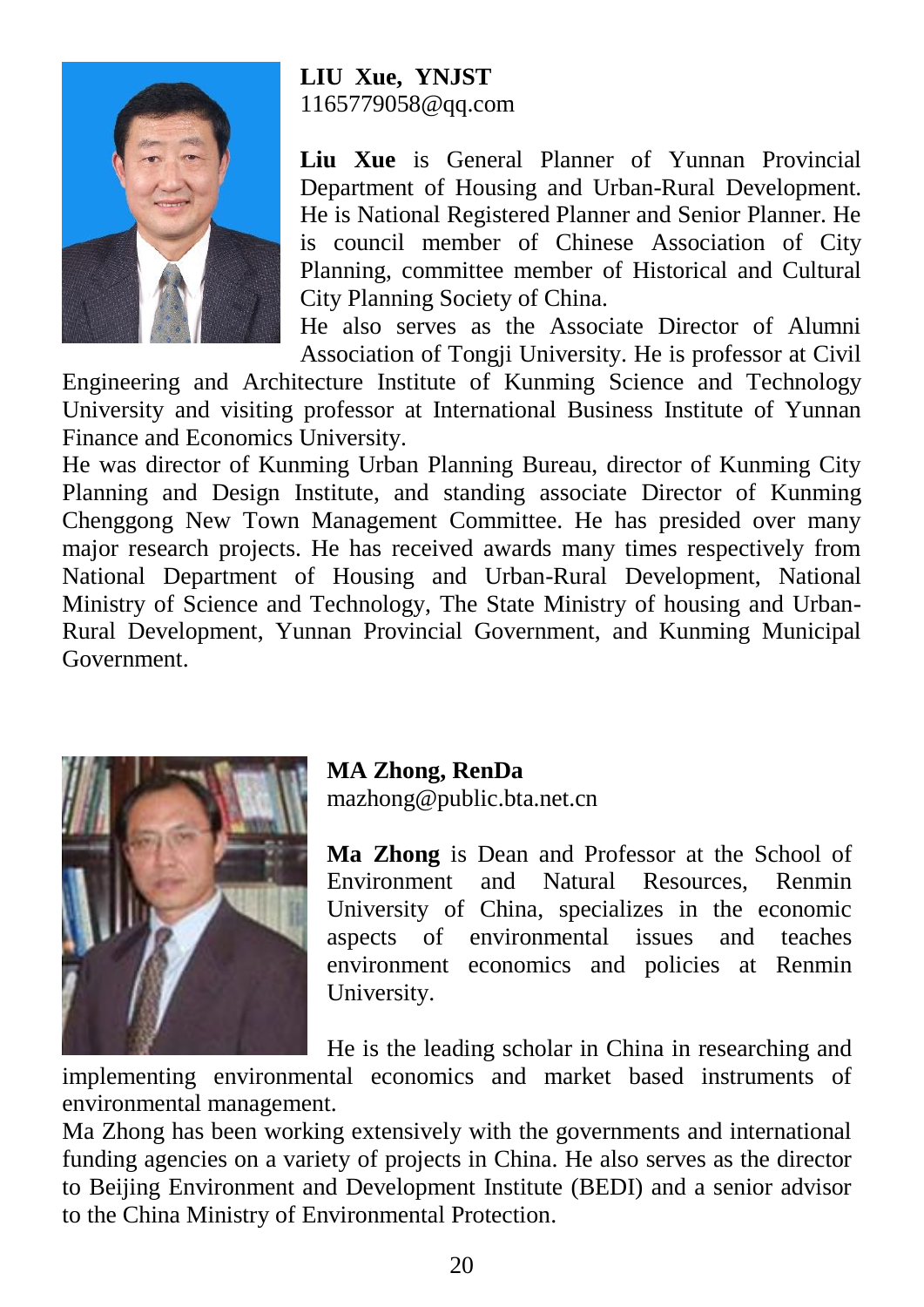![](_page_20_Picture_0.jpeg)

#### **LIU Xue, YNJST**  1165779058@qq.com

**Liu Xue** is General Planner of Yunnan Provincial Department of Housing and Urban-Rural Development. He is National Registered Planner and Senior Planner. He is council member of Chinese Association of City Planning, committee member of Historical and Cultural City Planning Society of China.

He also serves as the Associate Director of Alumni Association of Tongji University. He is professor at Civil

Engineering and Architecture Institute of Kunming Science and Technology University and visiting professor at International Business Institute of Yunnan Finance and Economics University.

He was director of Kunming Urban Planning Bureau, director of Kunming City Planning and Design Institute, and standing associate Director of Kunming Chenggong New Town Management Committee. He has presided over many major research projects. He has received awards many times respectively from National Department of Housing and Urban-Rural Development, National Ministry of Science and Technology, The State Ministry of housing and Urban-Rural Development, Yunnan Provincial Government, and Kunming Municipal Government.

![](_page_20_Picture_6.jpeg)

#### **MA Zhong, RenDa**

mazhong@public.bta.net.cn

**Ma Zhong** is Dean and Professor at the School of Environment and Natural Resources, Renmin University of China, specializes in the economic aspects of environmental issues and teaches environment economics and policies at Renmin University.

He is the leading scholar in China in researching and

implementing environmental economics and market based instruments of environmental management.

Ma Zhong has been working extensively with the governments and international funding agencies on a variety of projects in China. He also serves as the director to Beijing Environment and Development Institute (BEDI) and a senior advisor to the China Ministry of Environmental Protection.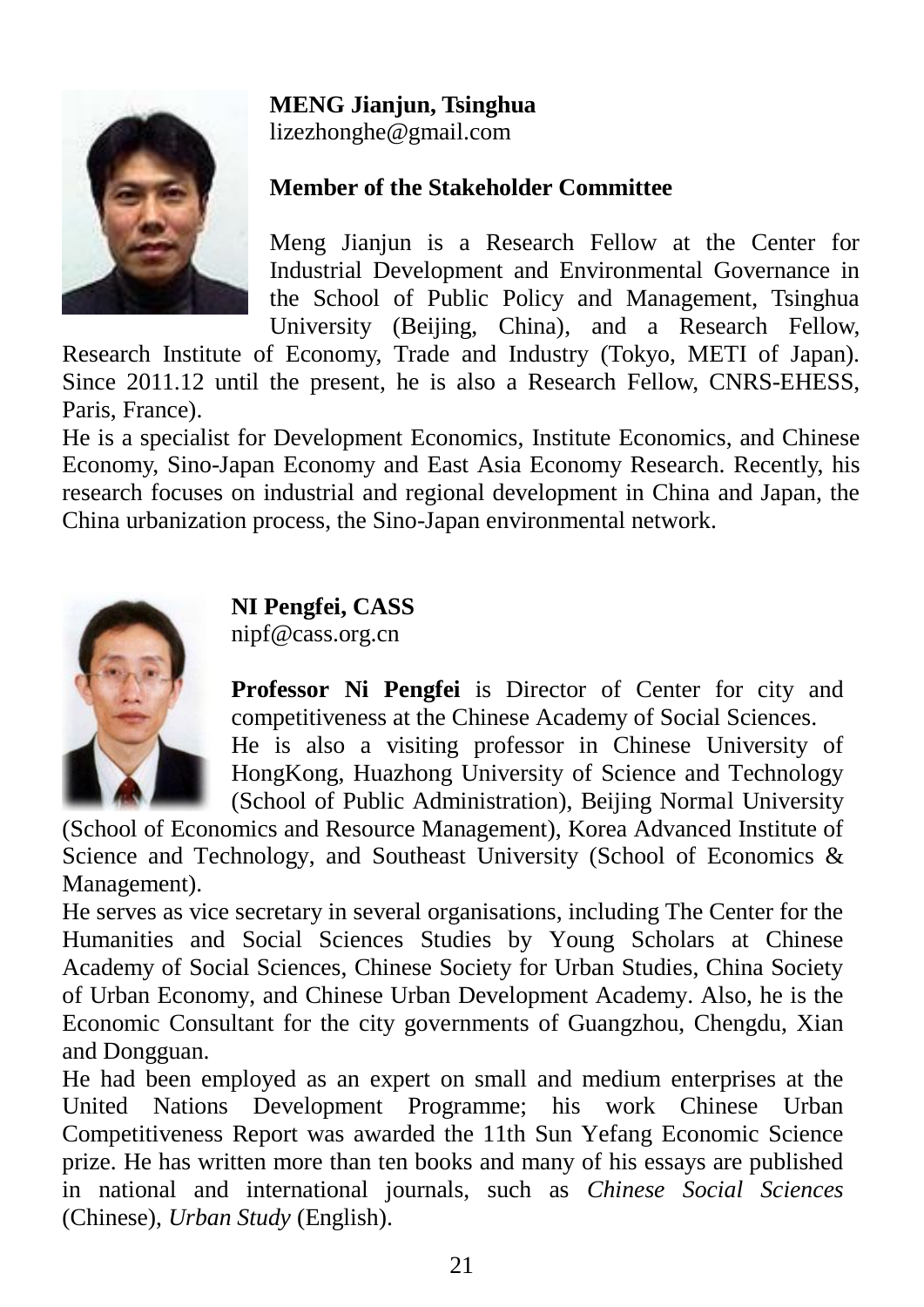#### **MENG Jianjun, Tsinghua**

![](_page_21_Picture_1.jpeg)

lizezhonghe@gmail.com

#### **Member of the Stakeholder Committee**

Meng Jianjun is a Research Fellow at the Center for Industrial Development and Environmental Governance in the School of Public Policy and Management, Tsinghua University (Beijing, China), and a Research Fellow,

Research Institute of Economy, Trade and Industry (Tokyo, METI of Japan). Since 2011.12 until the present, he is also a Research Fellow, CNRS-EHESS, Paris, France).

He is a specialist for Development Economics, Institute Economics, and Chinese Economy, Sino-Japan Economy and East Asia Economy Research. Recently, his research focuses on industrial and regional development in China and Japan, the China urbanization process, the Sino-Japan environmental network.

![](_page_21_Picture_7.jpeg)

**NI Pengfei, CASS** nipf@cass.org.cn

**Professor Ni Pengfei** is Director of Center for city and competitiveness at the Chinese Academy of Social Sciences.

He is also a visiting professor in Chinese University of HongKong, Huazhong University of Science and Technology (School of Public Administration), Beijing Normal University

(School of Economics and Resource Management), Korea Advanced Institute of Science and Technology, and Southeast University (School of Economics & Management).

He serves as vice secretary in several organisations, including The Center for the Humanities and Social Sciences Studies by Young Scholars at Chinese Academy of Social Sciences, Chinese Society for Urban Studies, China Society of Urban Economy, and Chinese Urban Development Academy. Also, he is the Economic Consultant for the city governments of Guangzhou, Chengdu, Xian and Dongguan.

He had been employed as an expert on small and medium enterprises at the United Nations Development Programme; his work Chinese Urban Competitiveness Report was awarded the 11th Sun Yefang Economic Science prize. He has written more than ten books and many of his essays are published in national and international journals, such as *Chinese Social Sciences* (Chinese), *Urban Study* (English).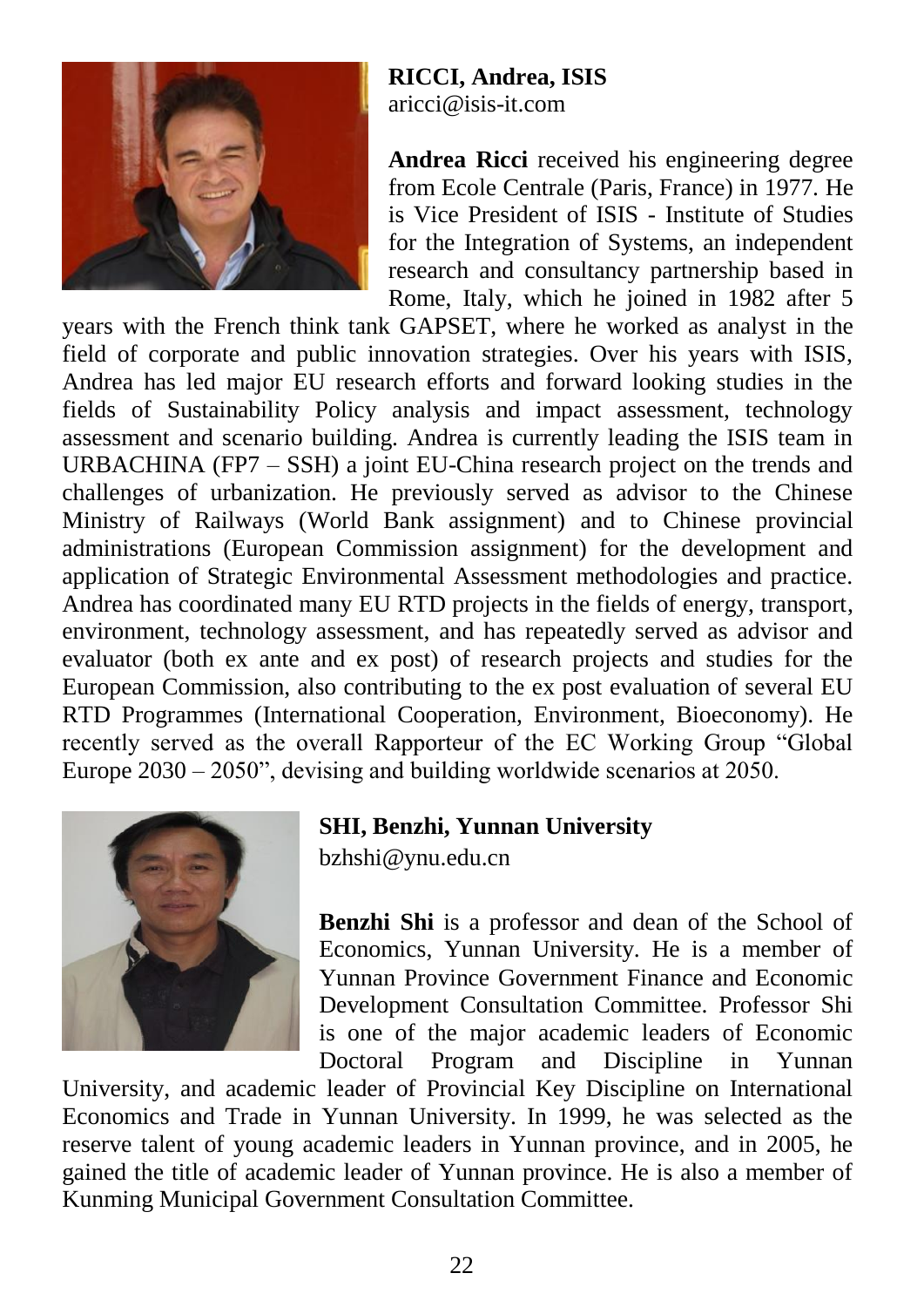![](_page_22_Picture_0.jpeg)

**RICCI, Andrea, ISIS** aricci@isis-it.com

**Andrea Ricci** received his engineering degree from Ecole Centrale (Paris, France) in 1977. He is Vice President of ISIS - Institute of Studies for the Integration of Systems, an independent research and consultancy partnership based in Rome, Italy, which he joined in 1982 after 5

years with the French think tank GAPSET, where he worked as analyst in the field of corporate and public innovation strategies. Over his years with ISIS, Andrea has led major EU research efforts and forward looking studies in the fields of Sustainability Policy analysis and impact assessment, technology assessment and scenario building. Andrea is currently leading the ISIS team in URBACHINA (FP7 – SSH) a joint EU-China research project on the trends and challenges of urbanization. He previously served as advisor to the Chinese Ministry of Railways (World Bank assignment) and to Chinese provincial administrations (European Commission assignment) for the development and application of Strategic Environmental Assessment methodologies and practice. Andrea has coordinated many EU RTD projects in the fields of energy, transport, environment, technology assessment, and has repeatedly served as advisor and evaluator (both ex ante and ex post) of research projects and studies for the European Commission, also contributing to the ex post evaluation of several EU RTD Programmes (International Cooperation, Environment, Bioeconomy). He recently served as the overall Rapporteur of the EC Working Group "Global Europe 2030 – 2050", devising and building worldwide scenarios at 2050.

![](_page_22_Picture_4.jpeg)

#### **SHI, Benzhi, Yunnan University**

[bzhshi@ynu.edu.cn](mailto:bzhshi@ynu.edu.cn)

**Benzhi Shi** is a professor and dean of the School of Economics, Yunnan University. He is a member of Yunnan Province Government Finance and Economic Development Consultation Committee. Professor Shi is one of the major academic leaders of Economic Doctoral Program and Discipline in Yunnan

University, and academic leader of Provincial Key Discipline on International Economics and Trade in Yunnan University. In 1999, he was selected as the reserve talent of young academic leaders in Yunnan province, and in 2005, he gained the title of academic leader of Yunnan province. He is also a member of Kunming Municipal Government Consultation Committee.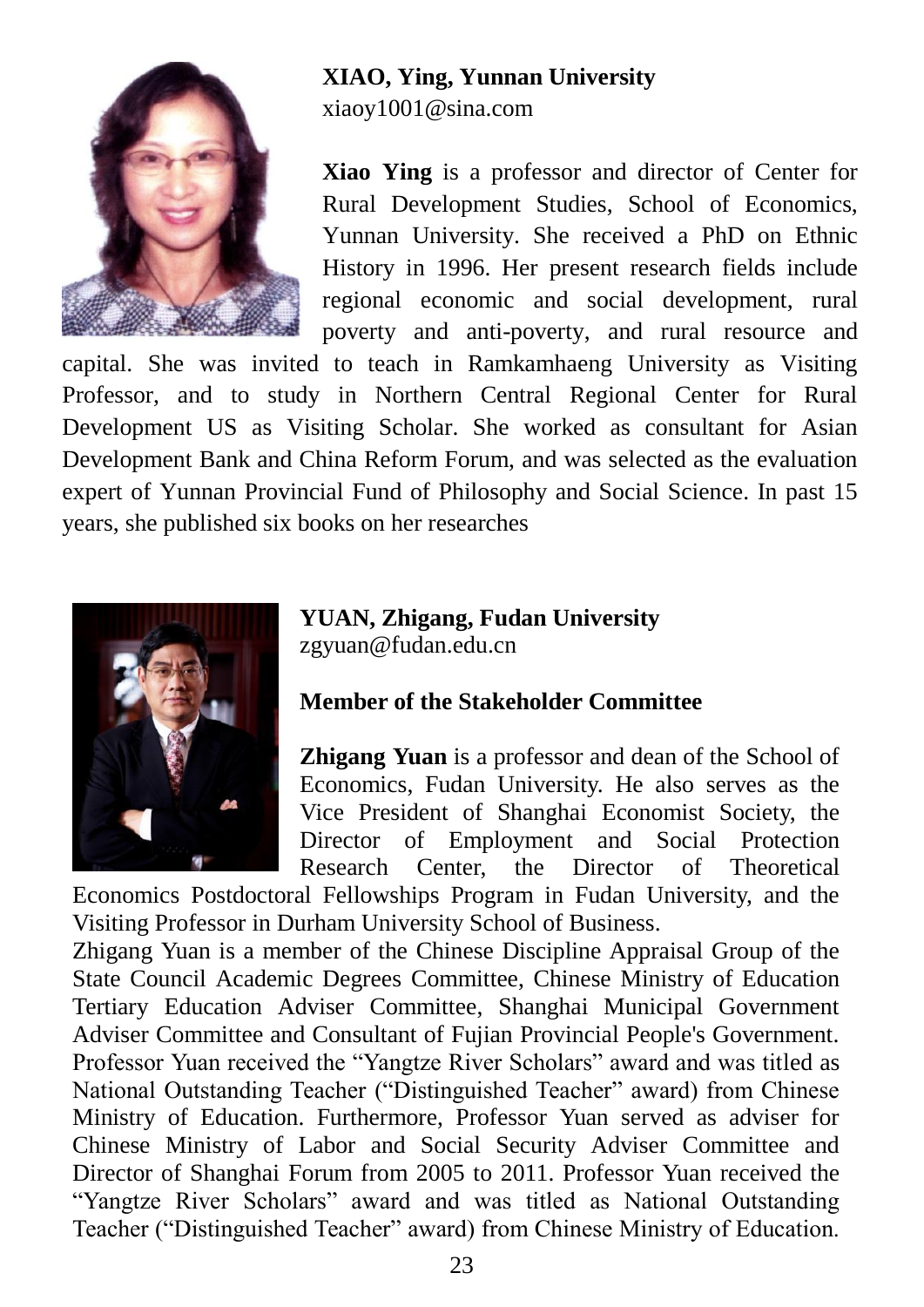![](_page_23_Picture_0.jpeg)

# **XIAO, Ying, Yunnan University**

[xiaoy1001@sina.com](mailto:xiaoy1001@sina.com)

**Xiao Ying** is a professor and director of Center for Rural Development Studies, School of Economics, Yunnan University. She received a PhD on Ethnic History in 1996. Her present research fields include regional economic and social development, rural poverty and anti-poverty, and rural resource and

capital. She was invited to teach in Ramkamhaeng University as Visiting Professor, and to study in Northern Central Regional Center for Rural Development US as Visiting Scholar. She worked as consultant for Asian Development Bank and China Reform Forum, and was selected as the evaluation expert of Yunnan Provincial Fund of Philosophy and Social Science. In past 15 years, she published six books on her researches

![](_page_23_Picture_5.jpeg)

**YUAN, Zhigang, Fudan University** zgyuan@fudan.edu.cn

#### **Member of the Stakeholder Committee**

**Zhigang Yuan** is a professor and dean of the School of Economics, Fudan University. He also serves as the Vice President of Shanghai Economist Society, the Director of Employment and Social Protection Research Center, the Director of Theoretical

Economics Postdoctoral Fellowships Program in Fudan University, and the Visiting Professor in Durham University School of Business.

Zhigang Yuan is a member of the Chinese Discipline Appraisal Group of the State Council Academic Degrees Committee, Chinese Ministry of Education Tertiary Education Adviser Committee, Shanghai Municipal Government Adviser Committee and Consultant of Fujian Provincial People's Government. Professor Yuan received the "Yangtze River Scholars" award and was titled as National Outstanding Teacher ("Distinguished Teacher" award) from Chinese Ministry of Education. Furthermore, Professor Yuan served as adviser for Chinese Ministry of Labor and Social Security Adviser Committee and Director of Shanghai Forum from 2005 to 2011. Professor Yuan received the "Yangtze River Scholars" award and was titled as National Outstanding Teacher ("Distinguished Teacher" award) from Chinese Ministry of Education.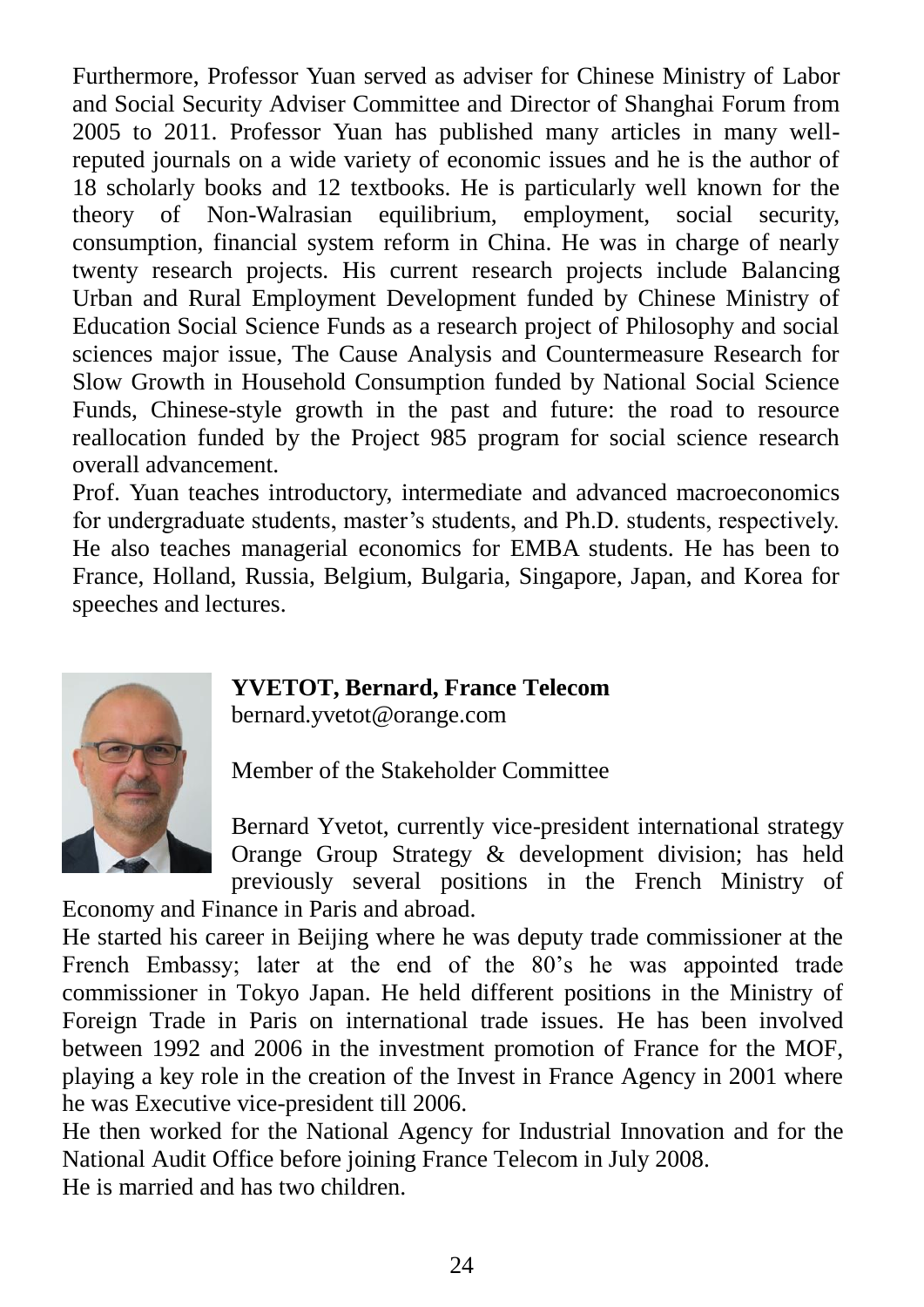Furthermore, Professor Yuan served as adviser for Chinese Ministry of Labor and Social Security Adviser Committee and Director of Shanghai Forum from 2005 to 2011. Professor Yuan has published many articles in many wellreputed journals on a wide variety of economic issues and he is the author of 18 scholarly books and 12 textbooks. He is particularly well known for the theory of Non-Walrasian equilibrium, employment, social security, consumption, financial system reform in China. He was in charge of nearly twenty research projects. His current research projects include Balancing Urban and Rural Employment Development funded by Chinese Ministry of Education Social Science Funds as a research project of Philosophy and social sciences major issue, The Cause Analysis and Countermeasure Research for Slow Growth in Household Consumption funded by National Social Science Funds, Chinese-style growth in the past and future: the road to resource reallocation funded by the Project 985 program for social science research overall advancement.

Prof. Yuan teaches introductory, intermediate and advanced macroeconomics for undergraduate students, master's students, and Ph.D. students, respectively. He also teaches managerial economics for EMBA students. He has been to France, Holland, Russia, Belgium, Bulgaria, Singapore, Japan, and Korea for speeches and lectures.

![](_page_24_Picture_2.jpeg)

#### **YVETOT, Bernard, France Telecom**

bernard.yvetot@orange.com

Member of the Stakeholder Committee

Bernard Yvetot, currently vice-president international strategy Orange Group Strategy & development division; has held previously several positions in the French Ministry of

Economy and Finance in Paris and abroad.

He started his career in Beijing where he was deputy trade commissioner at the French Embassy; later at the end of the 80's he was appointed trade commissioner in Tokyo Japan. He held different positions in the Ministry of Foreign Trade in Paris on international trade issues. He has been involved between 1992 and 2006 in the investment promotion of France for the MOF, playing a key role in the creation of the Invest in France Agency in 2001 where he was Executive vice-president till 2006.

He then worked for the National Agency for Industrial Innovation and for the National Audit Office before joining France Telecom in July 2008. He is married and has two children.